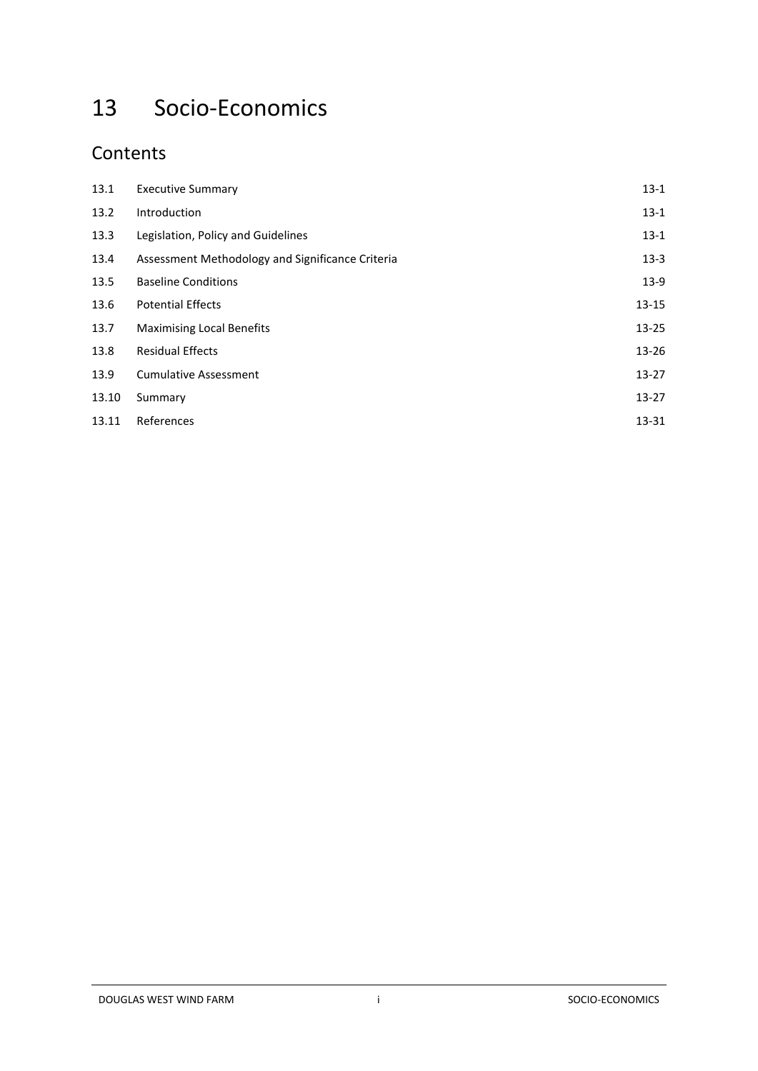# 13 Socio-Economics

# **Contents**

| 13.1  | <b>Executive Summary</b>                         | $13-1$    |
|-------|--------------------------------------------------|-----------|
| 13.2  | Introduction                                     | $13-1$    |
| 13.3  | Legislation, Policy and Guidelines               | $13-1$    |
| 13.4  | Assessment Methodology and Significance Criteria | $13-3$    |
| 13.5  | <b>Baseline Conditions</b>                       | $13-9$    |
| 13.6  | <b>Potential Effects</b>                         | $13 - 15$ |
| 13.7  | <b>Maximising Local Benefits</b>                 | $13 - 25$ |
| 13.8  | <b>Residual Effects</b>                          | $13 - 26$ |
| 13.9  | <b>Cumulative Assessment</b>                     | $13 - 27$ |
| 13.10 | Summary                                          | $13 - 27$ |
| 13.11 | References                                       | 13-31     |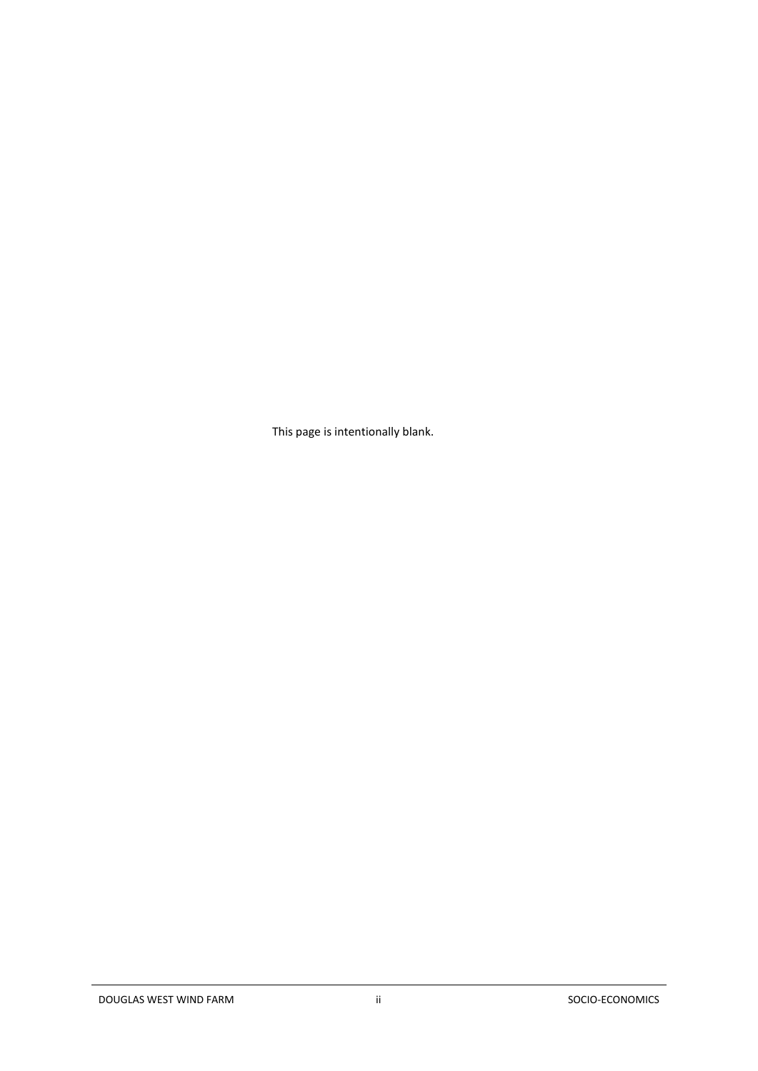This page is intentionally blank.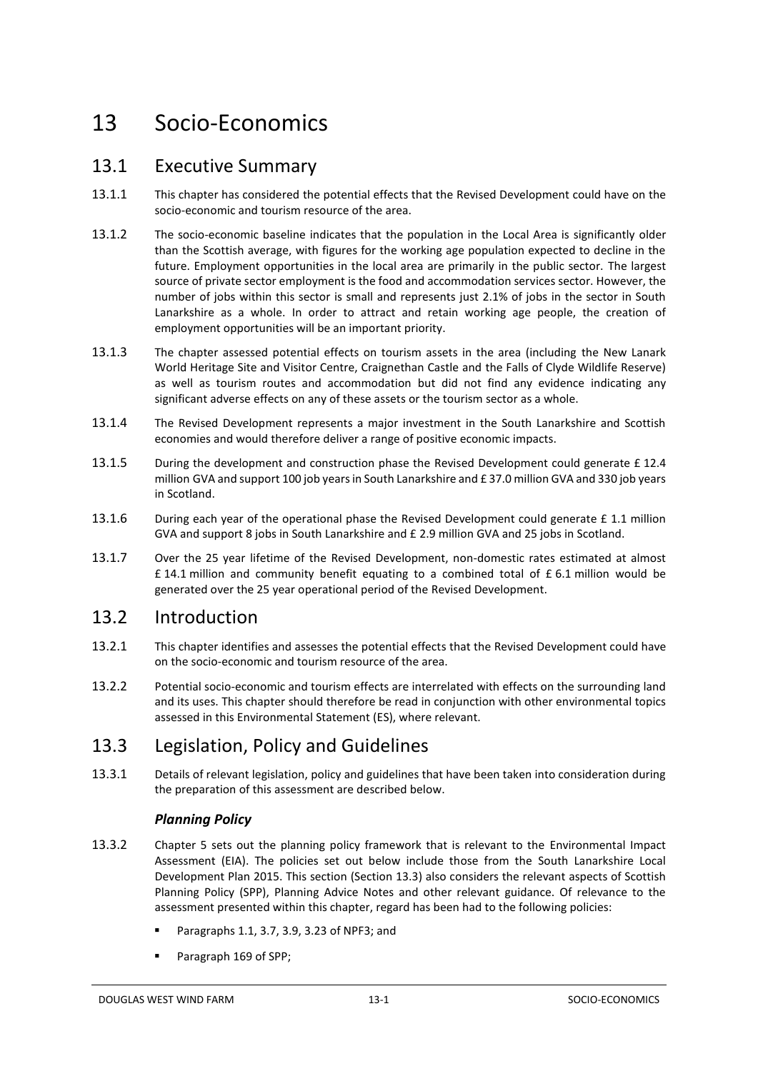# 13 Socio-Economics

# <span id="page-2-0"></span>13.1 Executive Summary

- 13.1.1 This chapter has considered the potential effects that the Revised Development could have on the socio-economic and tourism resource of the area.
- 13.1.2 The socio-economic baseline indicates that the population in the Local Area is significantly older than the Scottish average, with figures for the working age population expected to decline in the future. Employment opportunities in the local area are primarily in the public sector. The largest source of private sector employment is the food and accommodation services sector. However, the number of jobs within this sector is small and represents just 2.1% of jobs in the sector in South Lanarkshire as a whole. In order to attract and retain working age people, the creation of employment opportunities will be an important priority.
- 13.1.3 The chapter assessed potential effects on tourism assets in the area (including the New Lanark World Heritage Site and Visitor Centre, Craignethan Castle and the Falls of Clyde Wildlife Reserve) as well as tourism routes and accommodation but did not find any evidence indicating any significant adverse effects on any of these assets or the tourism sector as a whole.
- 13.1.4 The Revised Development represents a major investment in the South Lanarkshire and Scottish economies and would therefore deliver a range of positive economic impacts.
- 13.1.5 During the development and construction phase the Revised Development could generate £12.4 million GVA and support 100 job years in South Lanarkshire and £ 37.0 million GVA and 330 job years in Scotland.
- 13.1.6 During each year of the operational phase the Revised Development could generate £ 1.1 million GVA and support 8 jobs in South Lanarkshire and £ 2.9 million GVA and 25 jobs in Scotland.
- 13.1.7 Over the 25 year lifetime of the Revised Development, non-domestic rates estimated at almost £ 14.1 million and community benefit equating to a combined total of £ 6.1 million would be generated over the 25 year operational period of the Revised Development.

# <span id="page-2-1"></span>13.2 Introduction

- 13.2.1 This chapter identifies and assesses the potential effects that the Revised Development could have on the socio-economic and tourism resource of the area.
- 13.2.2 Potential socio-economic and tourism effects are interrelated with effects on the surrounding land and its uses. This chapter should therefore be read in conjunction with other environmental topics assessed in this Environmental Statement (ES), where relevant.

# <span id="page-2-2"></span>13.3 Legislation, Policy and Guidelines

13.3.1 Details of relevant legislation, policy and guidelines that have been taken into consideration during the preparation of this assessment are described below.

# *Planning Policy*

- 13.3.2 Chapter 5 sets out the planning policy framework that is relevant to the Environmental Impact Assessment (EIA). The policies set out below include those from the South Lanarkshire Local Development Plan 2015. This section (Section 13.3) also considers the relevant aspects of Scottish Planning Policy (SPP), Planning Advice Notes and other relevant guidance. Of relevance to the assessment presented within this chapter, regard has been had to the following policies:
	- **Paragraphs 1.1, 3.7, 3.9, 3.23 of NPF3; and**
	- Paragraph 169 of SPP;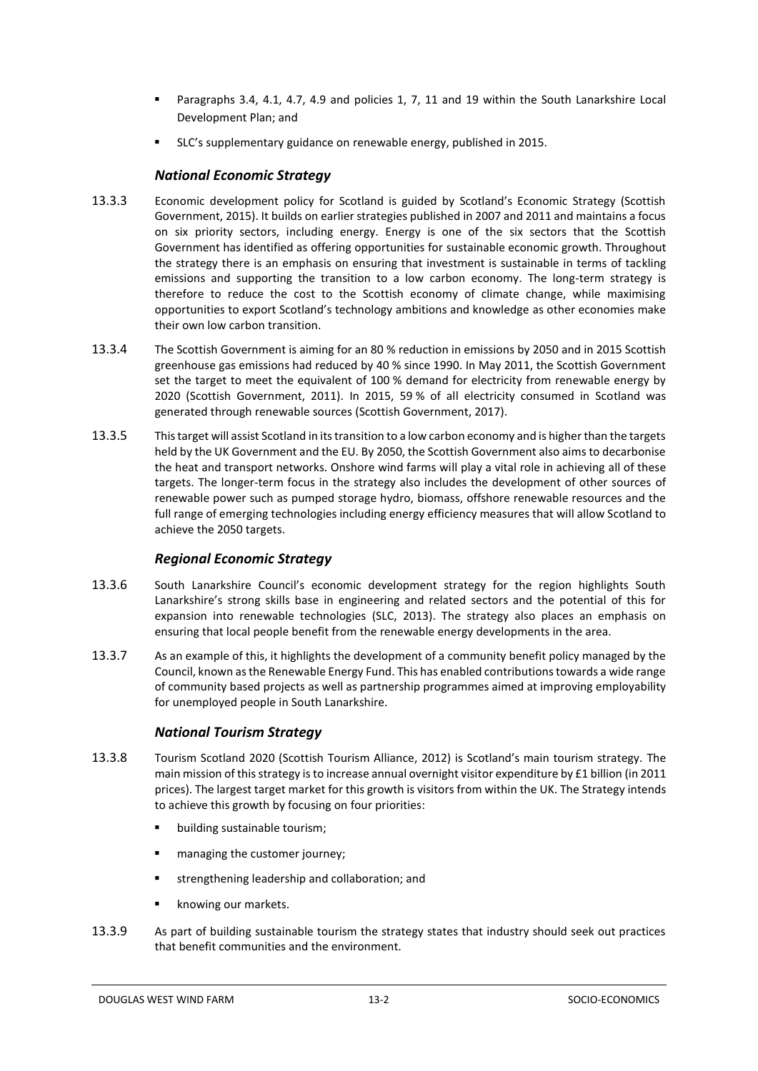- Paragraphs 3.4, 4.1, 4.7, 4.9 and policies 1, 7, 11 and 19 within the South Lanarkshire Local Development Plan; and
- SLC's supplementary guidance on renewable energy, published in 2015.

# *National Economic Strategy*

- 13.3.3 Economic development policy for Scotland is guided by Scotland's Economic Strategy (Scottish Government, 2015). It builds on earlier strategies published in 2007 and 2011 and maintains a focus on six priority sectors, including energy. Energy is one of the six sectors that the Scottish Government has identified as offering opportunities for sustainable economic growth. Throughout the strategy there is an emphasis on ensuring that investment is sustainable in terms of tackling emissions and supporting the transition to a low carbon economy. The long-term strategy is therefore to reduce the cost to the Scottish economy of climate change, while maximising opportunities to export Scotland's technology ambitions and knowledge as other economies make their own low carbon transition.
- 13.3.4 The Scottish Government is aiming for an 80 % reduction in emissions by 2050 and in 2015 Scottish greenhouse gas emissions had reduced by 40 % since 1990. In May 2011, the Scottish Government set the target to meet the equivalent of 100 % demand for electricity from renewable energy by 2020 (Scottish Government, 2011). In 2015, 59 % of all electricity consumed in Scotland was generated through renewable sources (Scottish Government, 2017).
- 13.3.5 This target will assist Scotland in its transition to a low carbon economy and is higher than the targets held by the UK Government and the EU. By 2050, the Scottish Government also aims to decarbonise the heat and transport networks. Onshore wind farms will play a vital role in achieving all of these targets. The longer-term focus in the strategy also includes the development of other sources of renewable power such as pumped storage hydro, biomass, offshore renewable resources and the full range of emerging technologies including energy efficiency measures that will allow Scotland to achieve the 2050 targets.

# *Regional Economic Strategy*

- 13.3.6 South Lanarkshire Council's economic development strategy for the region highlights South Lanarkshire's strong skills base in engineering and related sectors and the potential of this for expansion into renewable technologies (SLC, 2013). The strategy also places an emphasis on ensuring that local people benefit from the renewable energy developments in the area.
- 13.3.7 As an example of this, it highlights the development of a community benefit policy managed by the Council, known as the Renewable Energy Fund. This has enabled contributions towards a wide range of community based projects as well as partnership programmes aimed at improving employability for unemployed people in South Lanarkshire.

# *National Tourism Strategy*

- 13.3.8 Tourism Scotland 2020 (Scottish Tourism Alliance, 2012) is Scotland's main tourism strategy. The main mission of this strategy is to increase annual overnight visitor expenditure by £1 billion (in 2011 prices). The largest target market for this growth is visitors from within the UK. The Strategy intends to achieve this growth by focusing on four priorities:
	- building sustainable tourism;
	- **nanaging the customer journey;**
	- strengthening leadership and collaboration; and
	- knowing our markets.
- 13.3.9 As part of building sustainable tourism the strategy states that industry should seek out practices that benefit communities and the environment.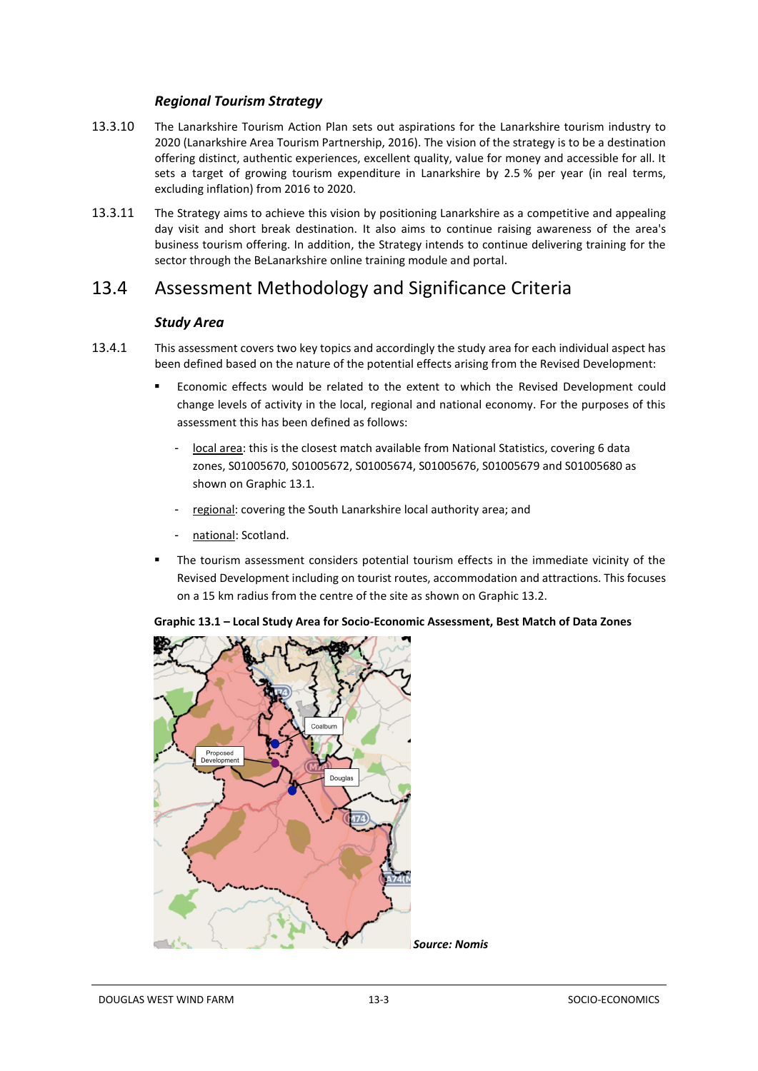# *Regional Tourism Strategy*

- 13.3.10 The Lanarkshire Tourism Action Plan sets out aspirations for the Lanarkshire tourism industry to 2020 (Lanarkshire Area Tourism Partnership, 2016). The vision of the strategy is to be a destination offering distinct, authentic experiences, excellent quality, value for money and accessible for all. It sets a target of growing tourism expenditure in Lanarkshire by 2.5 % per year (in real terms, excluding inflation) from 2016 to 2020.
- 13.3.11 The Strategy aims to achieve this vision by positioning Lanarkshire as a competitive and appealing day visit and short break destination. It also aims to continue raising awareness of the area's business tourism offering. In addition, the Strategy intends to continue delivering training for the sector through the BeLanarkshire online training module and portal.

# <span id="page-4-0"></span>13.4 Assessment Methodology and Significance Criteria

## *Study Area*

- 13.4.1 This assessment covers two key topics and accordingly the study area for each individual aspect has been defined based on the nature of the potential effects arising from the Revised Development:
	- Economic effects would be related to the extent to which the Revised Development could change levels of activity in the local, regional and national economy. For the purposes of this assessment this has been defined as follows:
		- local area: this is the closest match available from National Statistics, covering 6 data zones, S01005670, S01005672, S01005674, S01005676, S01005679 and S01005680 as shown on [Graphic](#page-4-1) 13.1.
		- regional: covering the South Lanarkshire local authority area; and
		- national: Scotland.
	- The tourism assessment considers potential tourism effects in the immediate vicinity of the Revised Development including on tourist routes, accommodation and attractions. This focuses on a 15 km radius from the centre of the site as shown on [Graphic](#page-5-0) 13.2.

<span id="page-4-1"></span>

### **Graphic 13.1 – Local Study Area for Socio-Economic Assessment, Best Match of Data Zones**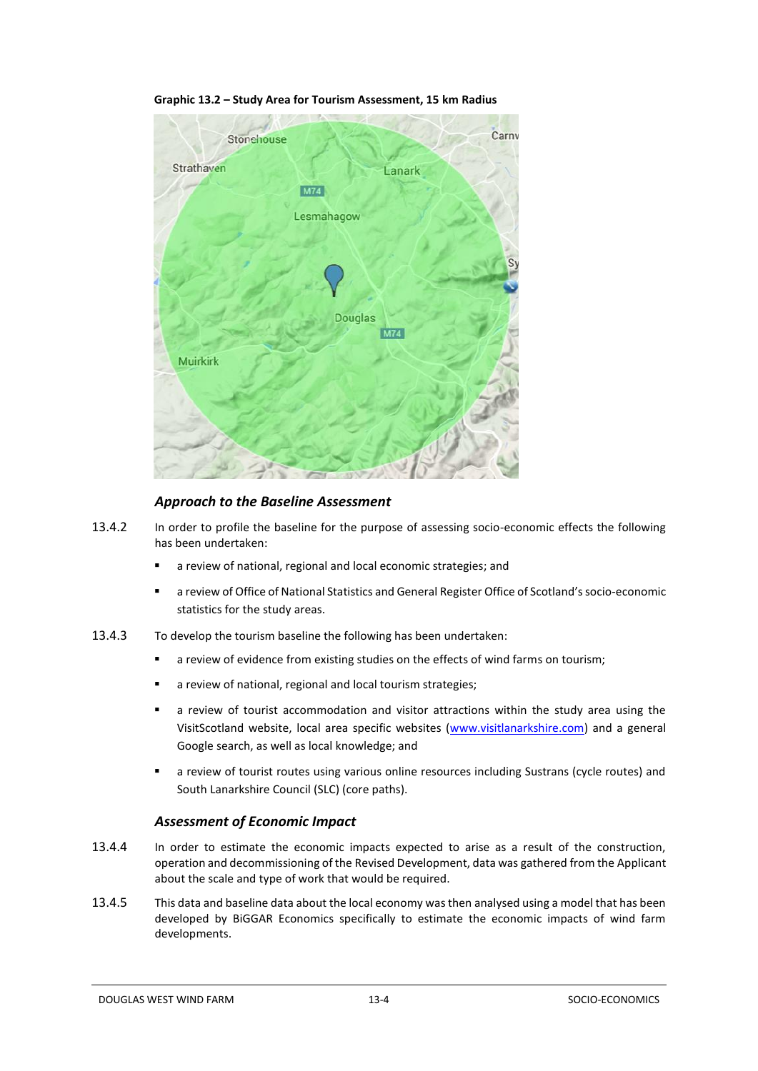<span id="page-5-0"></span>

#### **Graphic 13.2 – Study Area for Tourism Assessment, 15 km Radius**

## *Approach to the Baseline Assessment*

- 13.4.2 In order to profile the baseline for the purpose of assessing socio-economic effects the following has been undertaken:
	- a review of national, regional and local economic strategies; and
	- a review of Office of National Statistics and General Register Office of Scotland's socio-economic statistics for the study areas.
- 13.4.3 To develop the tourism baseline the following has been undertaken:
	- **a** review of evidence from existing studies on the effects of wind farms on tourism;
	- a review of national, regional and local tourism strategies;
	- a review of tourist accommodation and visitor attractions within the study area using the VisitScotland website, local area specific websites [\(www.visitlanarkshire.com\)](http://www.visitlanarkshire.com/) and a general Google search, as well as local knowledge; and
	- a review of tourist routes using various online resources including Sustrans (cycle routes) and South Lanarkshire Council (SLC) (core paths).

# *Assessment of Economic Impact*

- 13.4.4 In order to estimate the economic impacts expected to arise as a result of the construction, operation and decommissioning of the Revised Development, data was gathered from the Applicant about the scale and type of work that would be required.
- 13.4.5 This data and baseline data about the local economy was then analysed using a model that has been developed by BiGGAR Economics specifically to estimate the economic impacts of wind farm developments.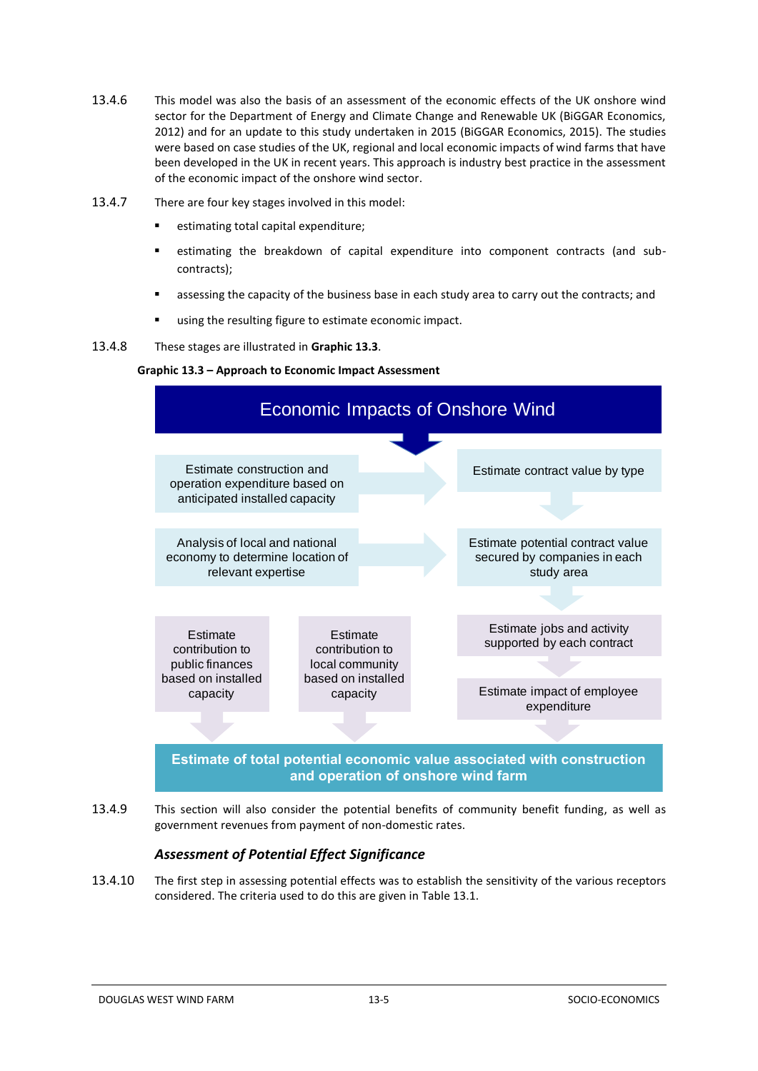- 13.4.6 This model was also the basis of an assessment of the economic effects of the UK onshore wind sector for the Department of Energy and Climate Change and Renewable UK (BiGGAR Economics, 2012) and for an update to this study undertaken in 2015 (BiGGAR Economics, 2015). The studies were based on case studies of the UK, regional and local economic impacts of wind farms that have been developed in the UK in recent years. This approach is industry best practice in the assessment of the economic impact of the onshore wind sector.
- 13.4.7 There are four key stages involved in this model:
	- estimating total capital expenditure;
	- estimating the breakdown of capital expenditure into component contracts (and subcontracts);
	- **EXECT** assessing the capacity of the business base in each study area to carry out the contracts; and
	- using the resulting figure to estimate economic impact.

#### <span id="page-6-0"></span>13.4.8 These stages are illustrated in **[Graphic](#page-6-0) 13.3**.

#### **Graphic 13.3 – Approach to Economic Impact Assessment**



13.4.9 This section will also consider the potential benefits of community benefit funding, as well as government revenues from payment of non-domestic rates.

# *Assessment of Potential Effect Significance*

13.4.10 The first step in assessing potential effects was to establish the sensitivity of the various receptors considered. The criteria used to do this are given in Table 13.1.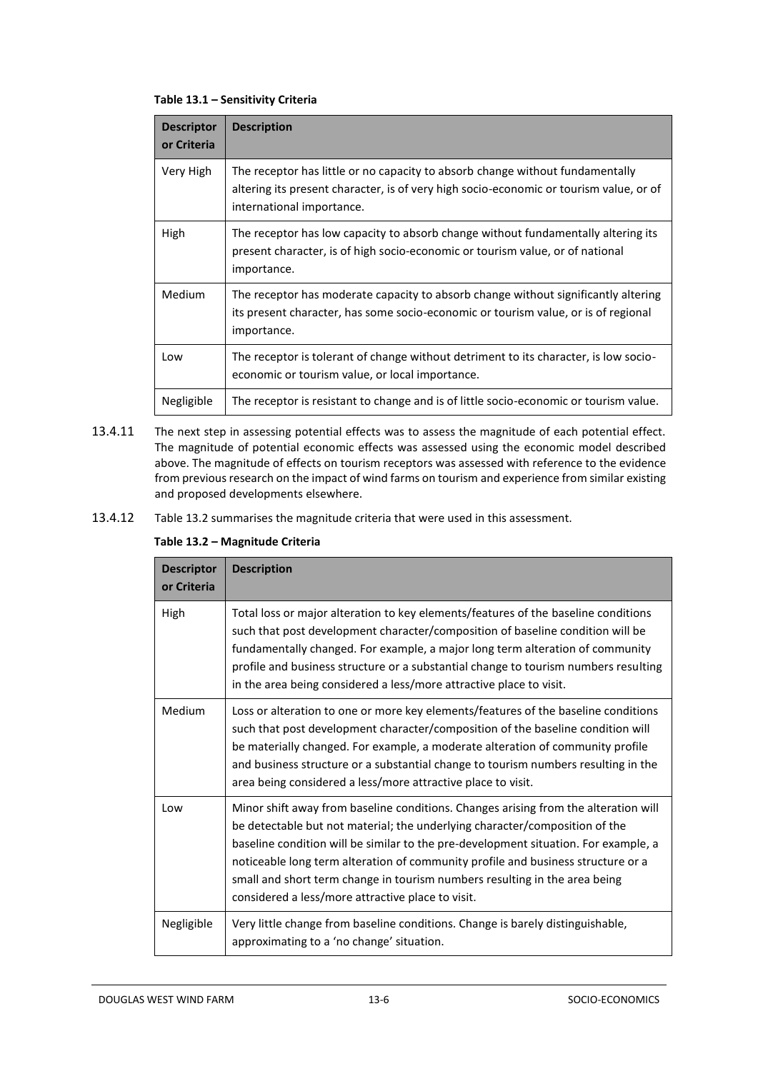## **Table 13.1 – Sensitivity Criteria**

| <b>Descriptor</b><br>or Criteria | <b>Description</b>                                                                                                                                                                                   |
|----------------------------------|------------------------------------------------------------------------------------------------------------------------------------------------------------------------------------------------------|
| Very High                        | The receptor has little or no capacity to absorb change without fundamentally<br>altering its present character, is of very high socio-economic or tourism value, or of<br>international importance. |
| <b>High</b>                      | The receptor has low capacity to absorb change without fundamentally altering its<br>present character, is of high socio-economic or tourism value, or of national<br>importance.                    |
| Medium                           | The receptor has moderate capacity to absorb change without significantly altering<br>its present character, has some socio-economic or tourism value, or is of regional<br>importance.              |
| Low                              | The receptor is tolerant of change without detriment to its character, is low socio-<br>economic or tourism value, or local importance.                                                              |
| Negligible                       | The receptor is resistant to change and is of little socio-economic or tourism value.                                                                                                                |

- 13.4.11 The next step in assessing potential effects was to assess the magnitude of each potential effect. The magnitude of potential economic effects was assessed using the economic model described above. The magnitude of effects on tourism receptors was assessed with reference to the evidence from previous research on the impact of wind farms on tourism and experience from similar existing and proposed developments elsewhere.
- 13.4.12 [Table 13.2](#page-7-0) summarises the magnitude criteria that were used in this assessment.

**Table 13.2 – Magnitude Criteria**

<span id="page-7-0"></span>

| <b>Descriptor</b><br>or Criteria | <b>Description</b>                                                                                                                                                                                                                                                                                                                                                                                                                                                               |
|----------------------------------|----------------------------------------------------------------------------------------------------------------------------------------------------------------------------------------------------------------------------------------------------------------------------------------------------------------------------------------------------------------------------------------------------------------------------------------------------------------------------------|
| High                             | Total loss or major alteration to key elements/features of the baseline conditions<br>such that post development character/composition of baseline condition will be<br>fundamentally changed. For example, a major long term alteration of community<br>profile and business structure or a substantial change to tourism numbers resulting<br>in the area being considered a less/more attractive place to visit.                                                              |
| Medium                           | Loss or alteration to one or more key elements/features of the baseline conditions<br>such that post development character/composition of the baseline condition will<br>be materially changed. For example, a moderate alteration of community profile<br>and business structure or a substantial change to tourism numbers resulting in the<br>area being considered a less/more attractive place to visit.                                                                    |
| Low                              | Minor shift away from baseline conditions. Changes arising from the alteration will<br>be detectable but not material; the underlying character/composition of the<br>baseline condition will be similar to the pre-development situation. For example, a<br>noticeable long term alteration of community profile and business structure or a<br>small and short term change in tourism numbers resulting in the area being<br>considered a less/more attractive place to visit. |
| Negligible                       | Very little change from baseline conditions. Change is barely distinguishable,<br>approximating to a 'no change' situation.                                                                                                                                                                                                                                                                                                                                                      |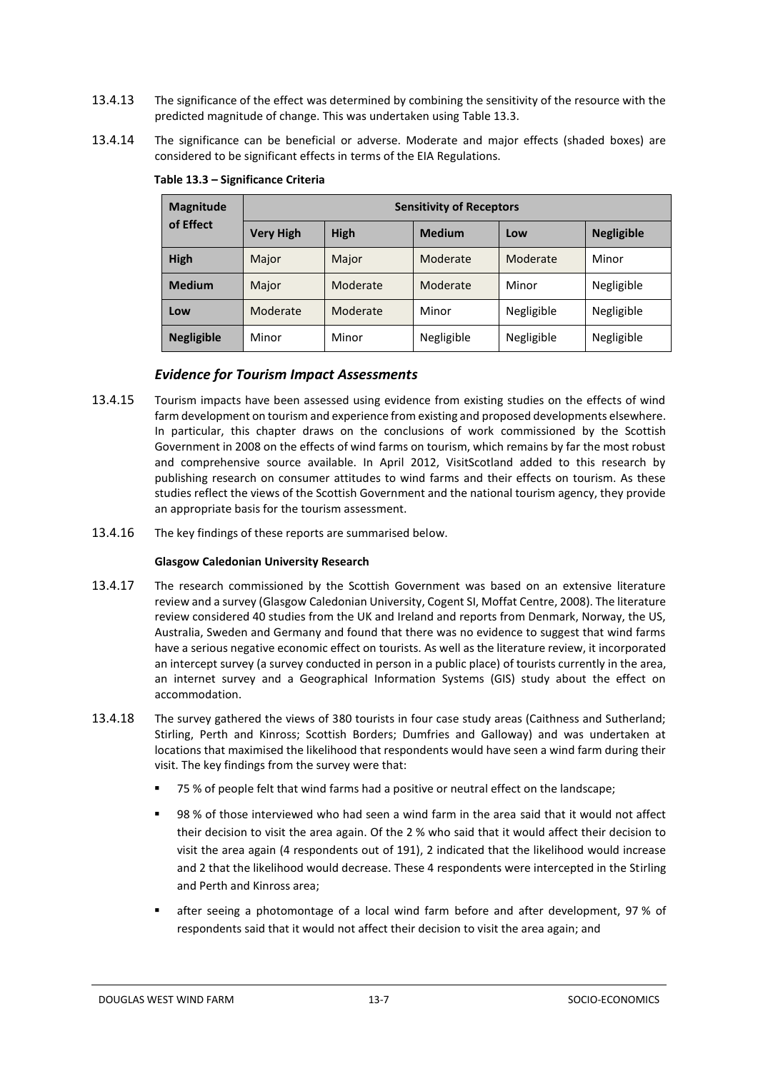- 13.4.13 The significance of the effect was determined by combining the sensitivity of the resource with the predicted magnitude of change. This was undertaken using [Table 13.3.](#page-8-0)
- <span id="page-8-0"></span>13.4.14 The significance can be beneficial or adverse. Moderate and major effects (shaded boxes) are considered to be significant effects in terms of the EIA Regulations.

| <b>Magnitude</b>  | <b>Sensitivity of Receptors</b> |          |               |            |                   |
|-------------------|---------------------------------|----------|---------------|------------|-------------------|
| of Effect         | <b>Very High</b>                | High     | <b>Medium</b> | Low        | <b>Negligible</b> |
| <b>High</b>       | Major                           | Major    | Moderate      | Moderate   | Minor             |
| <b>Medium</b>     | Major                           | Moderate | Moderate      | Minor      | Negligible        |
| Low               | Moderate                        | Moderate | Minor         | Negligible | Negligible        |
| <b>Negligible</b> | Minor                           | Minor    | Negligible    | Negligible | Negligible        |

**Table 13.3 – Significance Criteria**

# *Evidence for Tourism Impact Assessments*

- 13.4.15 Tourism impacts have been assessed using evidence from existing studies on the effects of wind farm development on tourism and experience from existing and proposed developments elsewhere. In particular, this chapter draws on the conclusions of work commissioned by the Scottish Government in 2008 on the effects of wind farms on tourism, which remains by far the most robust and comprehensive source available. In April 2012, VisitScotland added to this research by publishing research on consumer attitudes to wind farms and their effects on tourism. As these studies reflect the views of the Scottish Government and the national tourism agency, they provide an appropriate basis for the tourism assessment.
- 13.4.16 The key findings of these reports are summarised below.

### **Glasgow Caledonian University Research**

- 13.4.17 The research commissioned by the Scottish Government was based on an extensive literature review and a survey (Glasgow Caledonian University, Cogent SI, Moffat Centre, 2008). The literature review considered 40 studies from the UK and Ireland and reports from Denmark, Norway, the US, Australia, Sweden and Germany and found that there was no evidence to suggest that wind farms have a serious negative economic effect on tourists. As well as the literature review, it incorporated an intercept survey (a survey conducted in person in a public place) of tourists currently in the area, an internet survey and a Geographical Information Systems (GIS) study about the effect on accommodation.
- 13.4.18 The survey gathered the views of 380 tourists in four case study areas (Caithness and Sutherland; Stirling, Perth and Kinross; Scottish Borders; Dumfries and Galloway) and was undertaken at locations that maximised the likelihood that respondents would have seen a wind farm during their visit. The key findings from the survey were that:
	- 75 % of people felt that wind farms had a positive or neutral effect on the landscape;
	- 98 % of those interviewed who had seen a wind farm in the area said that it would not affect their decision to visit the area again. Of the 2 % who said that it would affect their decision to visit the area again (4 respondents out of 191), 2 indicated that the likelihood would increase and 2 that the likelihood would decrease. These 4 respondents were intercepted in the Stirling and Perth and Kinross area;
	- after seeing a photomontage of a local wind farm before and after development, 97 % of respondents said that it would not affect their decision to visit the area again; and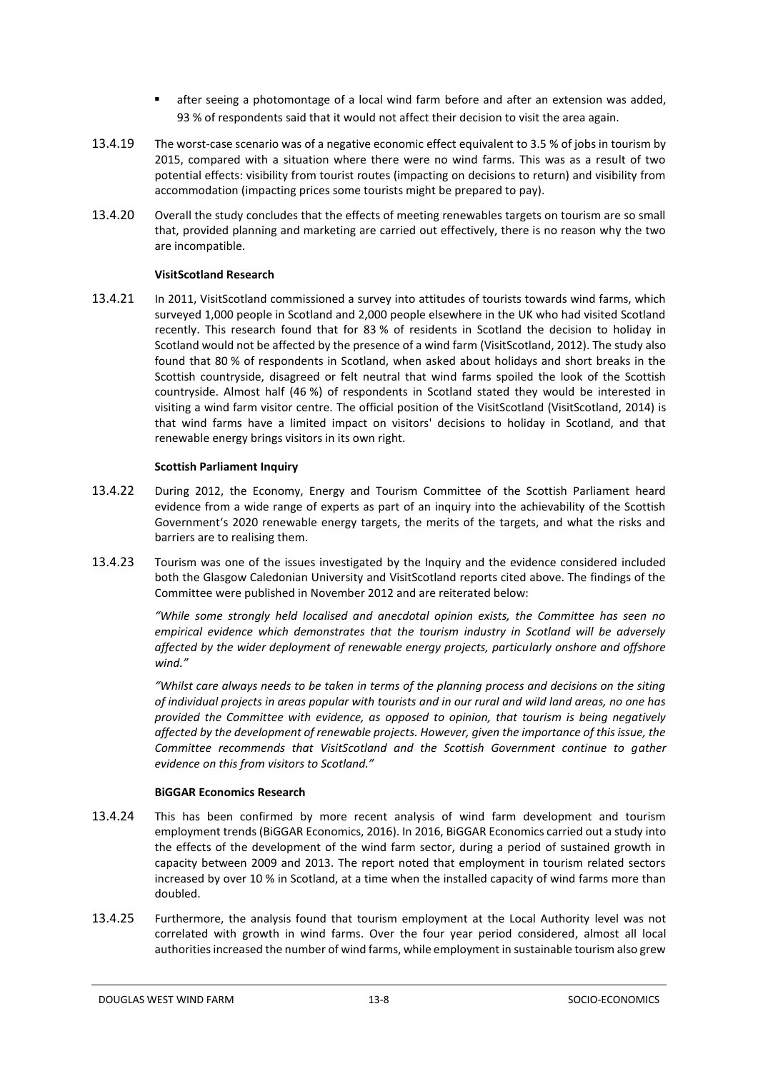- **EXECT** after seeing a photomontage of a local wind farm before and after an extension was added, 93 % of respondents said that it would not affect their decision to visit the area again.
- 13.4.19 The worst-case scenario was of a negative economic effect equivalent to 3.5 % of jobs in tourism by 2015, compared with a situation where there were no wind farms. This was as a result of two potential effects: visibility from tourist routes (impacting on decisions to return) and visibility from accommodation (impacting prices some tourists might be prepared to pay).
- 13.4.20 Overall the study concludes that the effects of meeting renewables targets on tourism are so small that, provided planning and marketing are carried out effectively, there is no reason why the two are incompatible.

#### **VisitScotland Research**

13.4.21 In 2011, VisitScotland commissioned a survey into attitudes of tourists towards wind farms, which surveyed 1,000 people in Scotland and 2,000 people elsewhere in the UK who had visited Scotland recently. This research found that for 83 % of residents in Scotland the decision to holiday in Scotland would not be affected by the presence of a wind farm (VisitScotland, 2012). The study also found that 80 % of respondents in Scotland, when asked about holidays and short breaks in the Scottish countryside, disagreed or felt neutral that wind farms spoiled the look of the Scottish countryside. Almost half (46 %) of respondents in Scotland stated they would be interested in visiting a wind farm visitor centre. The official position of the VisitScotland (VisitScotland, 2014) is that wind farms have a limited impact on visitors' decisions to holiday in Scotland, and that renewable energy brings visitors in its own right.

#### **Scottish Parliament Inquiry**

- 13.4.22 During 2012, the Economy, Energy and Tourism Committee of the Scottish Parliament heard evidence from a wide range of experts as part of an inquiry into the achievability of the Scottish Government's 2020 renewable energy targets, the merits of the targets, and what the risks and barriers are to realising them.
- 13.4.23 Tourism was one of the issues investigated by the Inquiry and the evidence considered included both the Glasgow Caledonian University and VisitScotland reports cited above. The findings of the Committee were published in November 2012 and are reiterated below:

*"While some strongly held localised and anecdotal opinion exists, the Committee has seen no empirical evidence which demonstrates that the tourism industry in Scotland will be adversely affected by the wider deployment of renewable energy projects, particularly onshore and offshore wind."* 

*"Whilst care always needs to be taken in terms of the planning process and decisions on the siting of individual projects in areas popular with tourists and in our rural and wild land areas, no one has provided the Committee with evidence, as opposed to opinion, that tourism is being negatively affected by the development of renewable projects. However, given the importance of this issue, the Committee recommends that VisitScotland and the Scottish Government continue to gather evidence on this from visitors to Scotland."*

### **BiGGAR Economics Research**

- 13.4.24 This has been confirmed by more recent analysis of wind farm development and tourism employment trends (BiGGAR Economics, 2016). In 2016, BiGGAR Economics carried out a study into the effects of the development of the wind farm sector, during a period of sustained growth in capacity between 2009 and 2013. The report noted that employment in tourism related sectors increased by over 10 % in Scotland, at a time when the installed capacity of wind farms more than doubled.
- 13.4.25 Furthermore, the analysis found that tourism employment at the Local Authority level was not correlated with growth in wind farms. Over the four year period considered, almost all local authorities increased the number of wind farms, while employment in sustainable tourism also grew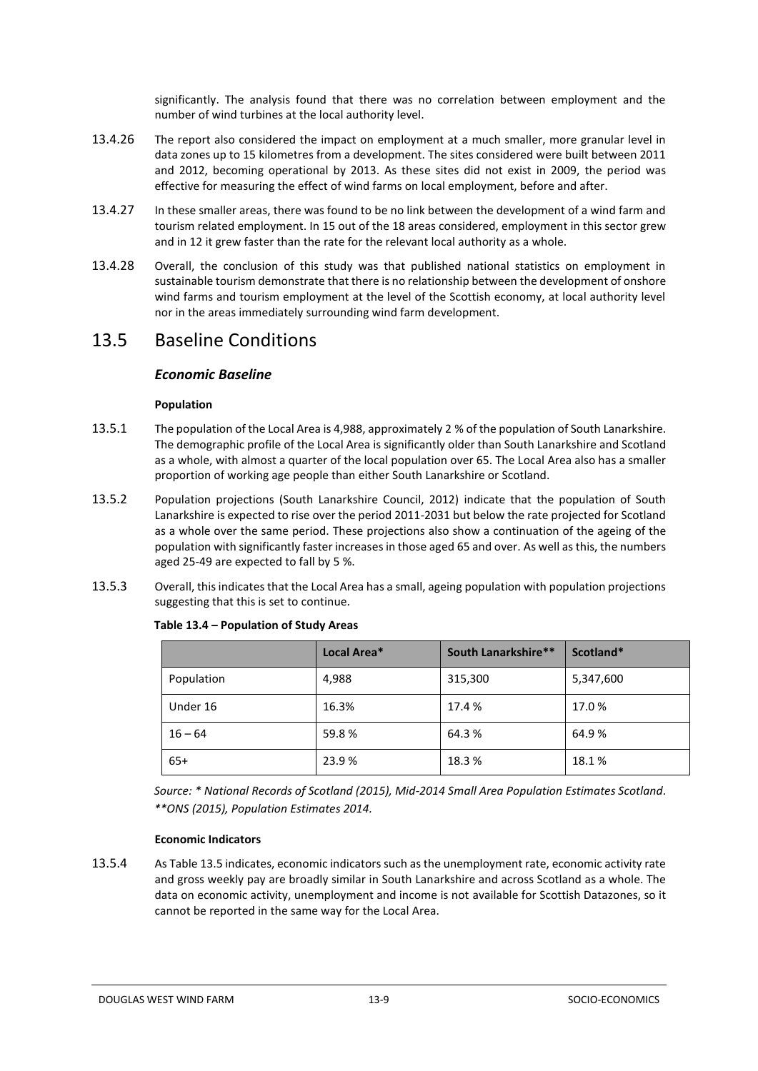significantly. The analysis found that there was no correlation between employment and the number of wind turbines at the local authority level.

- 13.4.26 The report also considered the impact on employment at a much smaller, more granular level in data zones up to 15 kilometres from a development. The sites considered were built between 2011 and 2012, becoming operational by 2013. As these sites did not exist in 2009, the period was effective for measuring the effect of wind farms on local employment, before and after.
- 13.4.27 In these smaller areas, there was found to be no link between the development of a wind farm and tourism related employment. In 15 out of the 18 areas considered, employment in this sector grew and in 12 it grew faster than the rate for the relevant local authority as a whole.
- 13.4.28 Overall, the conclusion of this study was that published national statistics on employment in sustainable tourism demonstrate that there is no relationship between the development of onshore wind farms and tourism employment at the level of the Scottish economy, at local authority level nor in the areas immediately surrounding wind farm development.

# <span id="page-10-0"></span>13.5 Baseline Conditions

# *Economic Baseline*

### **Population**

- 13.5.1 The population of the Local Area is 4,988, approximately 2 % of the population of South Lanarkshire. The demographic profile of the Local Area is significantly older than South Lanarkshire and Scotland as a whole, with almost a quarter of the local population over 65. The Local Area also has a smaller proportion of working age people than either South Lanarkshire or Scotland.
- 13.5.2 Population projections (South Lanarkshire Council, 2012) indicate that the population of South Lanarkshire is expected to rise over the period 2011-2031 but below the rate projected for Scotland as a whole over the same period. These projections also show a continuation of the ageing of the population with significantly faster increases in those aged 65 and over. As well as this, the numbers aged 25-49 are expected to fall by 5 %.
- 13.5.3 Overall, this indicates that the Local Area has a small, ageing population with population projections suggesting that this is set to continue.

|            | Local Area* | South Lanarkshire** | Scotland* |
|------------|-------------|---------------------|-----------|
| Population | 4,988       | 315,300             | 5,347,600 |
| Under 16   | 16.3%       | 17.4 %              | 17.0%     |
| $16 - 64$  | 59.8%       | 64.3%               | 64.9%     |
| $65+$      | 23.9%       | 18.3%               | 18.1%     |

### **Table 13.4 – Population of Study Areas**

*Source: \* National Records of Scotland (2015), Mid-2014 Small Area Population Estimates Scotland. \*\*ONS (2015), Population Estimates 2014.*

# **Economic Indicators**

13.5.4 As Table 13.5 indicates, economic indicators such as the unemployment rate, economic activity rate and gross weekly pay are broadly similar in South Lanarkshire and across Scotland as a whole. The data on economic activity, unemployment and income is not available for Scottish Datazones, so it cannot be reported in the same way for the Local Area.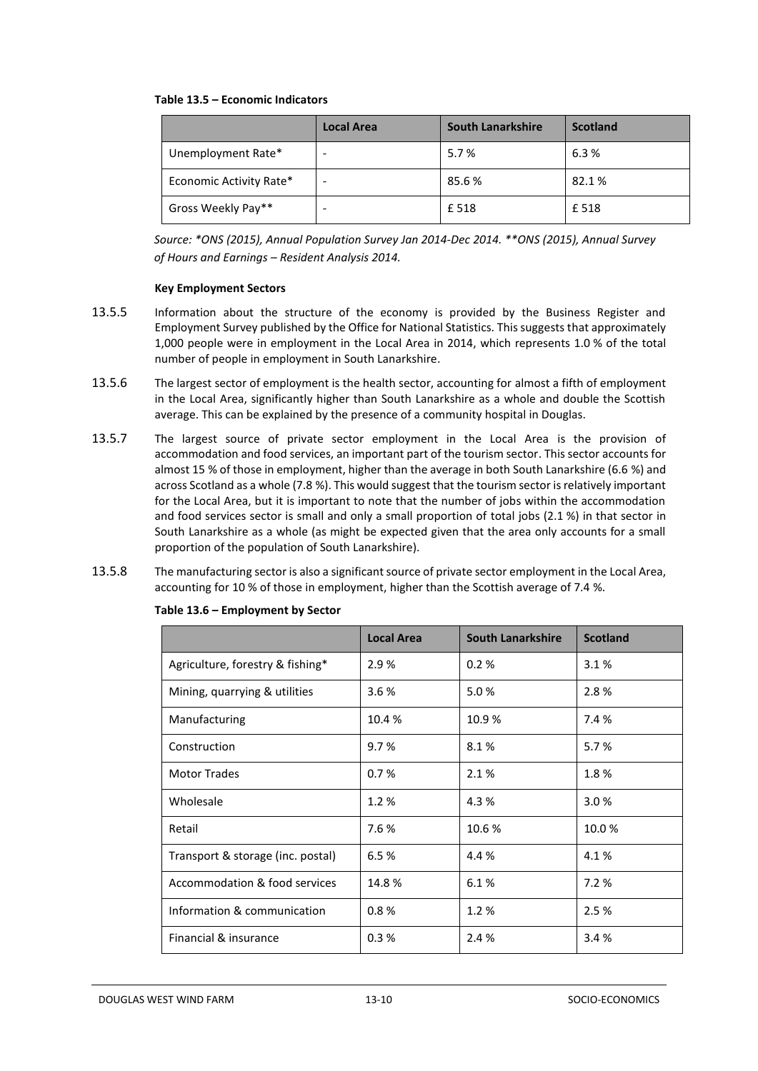#### **Table 13.5 – Economic Indicators**

|                         | <b>Local Area</b>        | <b>South Lanarkshire</b> | <b>Scotland</b> |
|-------------------------|--------------------------|--------------------------|-----------------|
| Unemployment Rate*      | $\overline{\phantom{a}}$ | 5.7%                     | 6.3%            |
| Economic Activity Rate* | $\overline{\phantom{a}}$ | 85.6%                    | 82.1%           |
| Gross Weekly Pay**      | -                        | £518                     | £ 518           |

*Source: \*ONS (2015), Annual Population Survey Jan 2014-Dec 2014. \*\*ONS (2015), Annual Survey of Hours and Earnings – Resident Analysis 2014.*

#### **Key Employment Sectors**

- 13.5.5 Information about the structure of the economy is provided by the Business Register and Employment Survey published by the Office for National Statistics. This suggests that approximately 1,000 people were in employment in the Local Area in 2014, which represents 1.0 % of the total number of people in employment in South Lanarkshire.
- 13.5.6 The largest sector of employment is the health sector, accounting for almost a fifth of employment in the Local Area, significantly higher than South Lanarkshire as a whole and double the Scottish average. This can be explained by the presence of a community hospital in Douglas.
- 13.5.7 The largest source of private sector employment in the Local Area is the provision of accommodation and food services, an important part of the tourism sector. This sector accounts for almost 15 % of those in employment, higher than the average in both South Lanarkshire (6.6 %) and across Scotland as a whole (7.8 %). This would suggest that the tourism sector is relatively important for the Local Area, but it is important to note that the number of jobs within the accommodation and food services sector is small and only a small proportion of total jobs (2.1 %) in that sector in South Lanarkshire as a whole (as might be expected given that the area only accounts for a small proportion of the population of South Lanarkshire).
- 13.5.8 The manufacturing sector is also a significant source of private sector employment in the Local Area, accounting for 10 % of those in employment, higher than the Scottish average of 7.4 %.

|                                   | <b>Local Area</b> | <b>South Lanarkshire</b> | <b>Scotland</b> |
|-----------------------------------|-------------------|--------------------------|-----------------|
| Agriculture, forestry & fishing*  | 2.9%              | 0.2%                     | 3.1%            |
| Mining, quarrying & utilities     | 3.6%              | 5.0%                     | 2.8%            |
| Manufacturing                     | 10.4 %            | 10.9%                    | 7.4 %           |
| Construction                      | 9.7%              | 8.1%                     | 5.7%            |
| <b>Motor Trades</b>               | 0.7%              | 2.1%                     | 1.8%            |
| Wholesale                         | 1.2%              | 4.3%                     | 3.0%            |
| Retail                            | 7.6%              | 10.6%                    | 10.0%           |
| Transport & storage (inc. postal) | 6.5%              | 4.4 %                    | 4.1%            |
| Accommodation & food services     | 14.8%             | 6.1%                     | 7.2%            |
| Information & communication       | 0.8%              | 1.2%                     | 2.5%            |
| Financial & insurance             | 0.3%              | 2.4 %                    | 3.4 %           |

#### **Table 13.6 – Employment by Sector**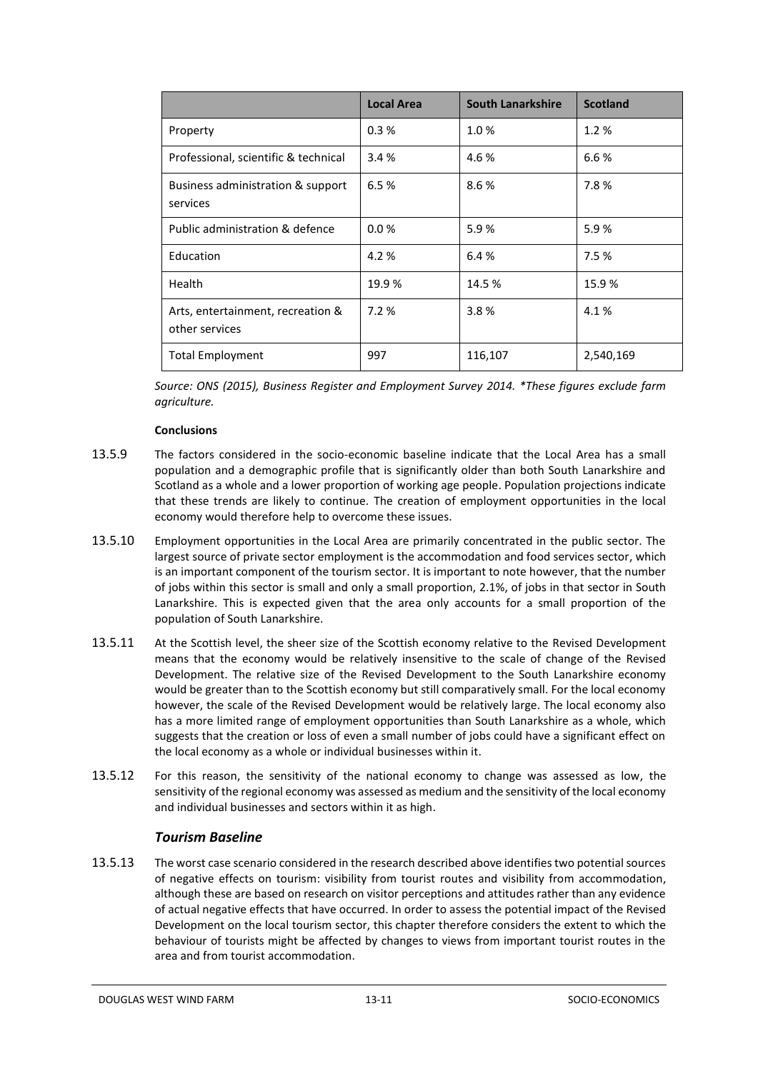|                                                     | <b>Local Area</b> | <b>South Lanarkshire</b> | <b>Scotland</b> |
|-----------------------------------------------------|-------------------|--------------------------|-----------------|
| Property                                            | 0.3%              | 1.0%                     | 1.2%            |
| Professional, scientific & technical                | 3.4%              | 4.6%                     | 6.6%            |
| Business administration & support<br>services       | 6.5%              | 8.6%                     | 7.8%            |
| Public administration & defence                     | 0.0%              | 5.9%                     | 5.9%            |
| Education                                           | 4.2%              | 6.4%                     | 7.5%            |
| Health                                              | 19.9%             | 14.5 %                   | 15.9%           |
| Arts, entertainment, recreation &<br>other services | 7.2%              | 3.8%                     | 4.1%            |
| <b>Total Employment</b>                             | 997               | 116,107                  | 2,540,169       |

*Source: ONS (2015), Business Register and Employment Survey 2014. \*These figures exclude farm agriculture.*

#### **Conclusions**

- 13.5.9 The factors considered in the socio-economic baseline indicate that the Local Area has a small population and a demographic profile that is significantly older than both South Lanarkshire and Scotland as a whole and a lower proportion of working age people. Population projections indicate that these trends are likely to continue. The creation of employment opportunities in the local economy would therefore help to overcome these issues.
- 13.5.10 Employment opportunities in the Local Area are primarily concentrated in the public sector. The largest source of private sector employment is the accommodation and food services sector, which is an important component of the tourism sector. It is important to note however, that the number of jobs within this sector is small and only a small proportion, 2.1%, of jobs in that sector in South Lanarkshire. This is expected given that the area only accounts for a small proportion of the population of South Lanarkshire.
- 13.5.11 At the Scottish level, the sheer size of the Scottish economy relative to the Revised Development means that the economy would be relatively insensitive to the scale of change of the Revised Development. The relative size of the Revised Development to the South Lanarkshire economy would be greater than to the Scottish economy but still comparatively small. For the local economy however, the scale of the Revised Development would be relatively large. The local economy also has a more limited range of employment opportunities than South Lanarkshire as a whole, which suggests that the creation or loss of even a small number of jobs could have a significant effect on the local economy as a whole or individual businesses within it.
- 13.5.12 For this reason, the sensitivity of the national economy to change was assessed as low, the sensitivity of the regional economy was assessed as medium and the sensitivity of the local economy and individual businesses and sectors within it as high.

# *Tourism Baseline*

13.5.13 The worst case scenario considered in the research described above identifies two potential sources of negative effects on tourism: visibility from tourist routes and visibility from accommodation, although these are based on research on visitor perceptions and attitudes rather than any evidence of actual negative effects that have occurred. In order to assess the potential impact of the Revised Development on the local tourism sector, this chapter therefore considers the extent to which the behaviour of tourists might be affected by changes to views from important tourist routes in the area and from tourist accommodation.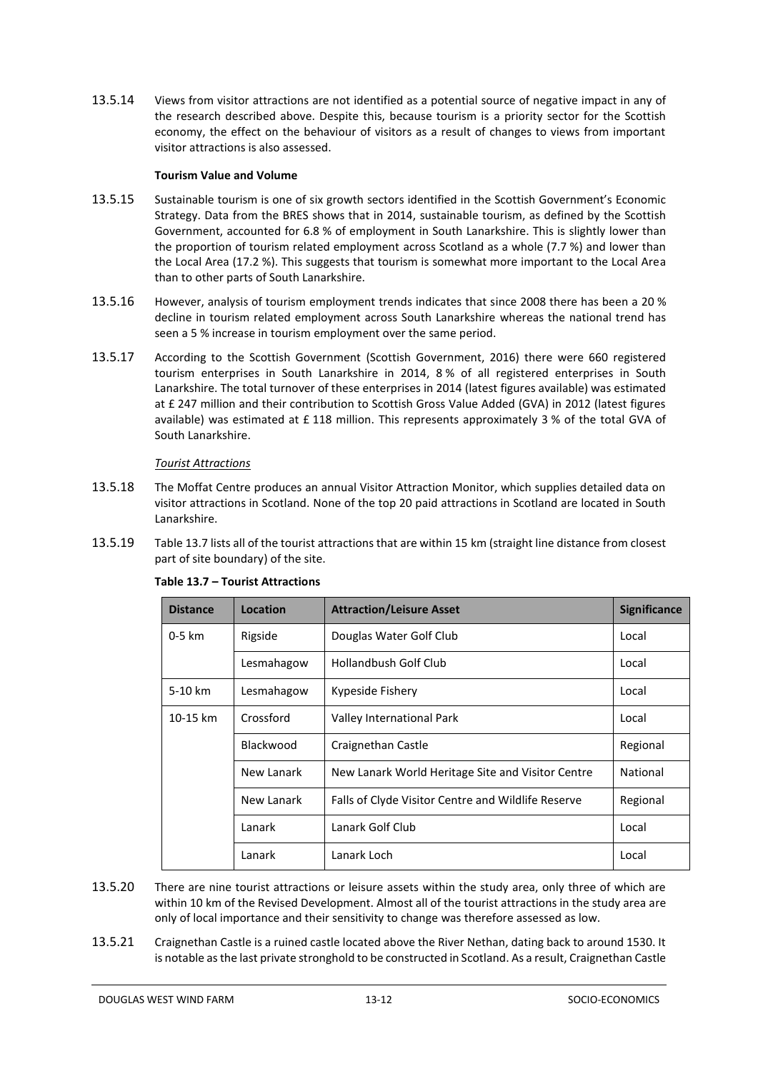13.5.14 Views from visitor attractions are not identified as a potential source of negative impact in any of the research described above. Despite this, because tourism is a priority sector for the Scottish economy, the effect on the behaviour of visitors as a result of changes to views from important visitor attractions is also assessed.

#### **Tourism Value and Volume**

- 13.5.15 Sustainable tourism is one of six growth sectors identified in the Scottish Government's Economic Strategy. Data from the BRES shows that in 2014, sustainable tourism, as defined by the Scottish Government, accounted for 6.8 % of employment in South Lanarkshire. This is slightly lower than the proportion of tourism related employment across Scotland as a whole (7.7 %) and lower than the Local Area (17.2 %). This suggests that tourism is somewhat more important to the Local Area than to other parts of South Lanarkshire.
- 13.5.16 However, analysis of tourism employment trends indicates that since 2008 there has been a 20 % decline in tourism related employment across South Lanarkshire whereas the national trend has seen a 5 % increase in tourism employment over the same period.
- 13.5.17 According to the Scottish Government (Scottish Government, 2016) there were 660 registered tourism enterprises in South Lanarkshire in 2014, 8 % of all registered enterprises in South Lanarkshire. The total turnover of these enterprises in 2014 (latest figures available) was estimated at £ 247 million and their contribution to Scottish Gross Value Added (GVA) in 2012 (latest figures available) was estimated at £ 118 million. This represents approximately 3 % of the total GVA of South Lanarkshire.

#### *Tourist Attractions*

- 13.5.18 The Moffat Centre produces an annual Visitor Attraction Monitor, which supplies detailed data on visitor attractions in Scotland. None of the top 20 paid attractions in Scotland are located in South Lanarkshire.
- <span id="page-13-0"></span>13.5.19 [Table 13.7](#page-13-0) lists all of the tourist attractions that are within 15 km (straight line distance from closest part of site boundary) of the site.

| <b>Distance</b> | Location   | <b>Attraction/Leisure Asset</b>                    | <b>Significance</b> |
|-----------------|------------|----------------------------------------------------|---------------------|
| $0-5$ km        | Rigside    | Douglas Water Golf Club                            | Local               |
|                 | Lesmahagow | <b>Hollandbush Golf Club</b>                       | Local               |
| 5-10 km         | Lesmahagow | Kypeside Fishery                                   | Local               |
| 10-15 km        | Crossford  | Valley International Park                          | Local               |
|                 | Blackwood  | Craignethan Castle                                 | Regional            |
|                 | New Lanark | New Lanark World Heritage Site and Visitor Centre  | National            |
|                 | New Lanark | Falls of Clyde Visitor Centre and Wildlife Reserve | Regional            |
|                 | Lanark     | Lanark Golf Club                                   | Local               |
|                 | Lanark     | Lanark Loch                                        | Local               |

### **Table 13.7 – Tourist Attractions**

- 13.5.20 There are nine tourist attractions or leisure assets within the study area, only three of which are within 10 km of the Revised Development. Almost all of the tourist attractions in the study area are only of local importance and their sensitivity to change was therefore assessed as low.
- 13.5.21 Craignethan Castle is a ruined castle located above the River Nethan, dating back to around 1530. It is notable as the last private stronghold to be constructed in Scotland. As a result, Craignethan Castle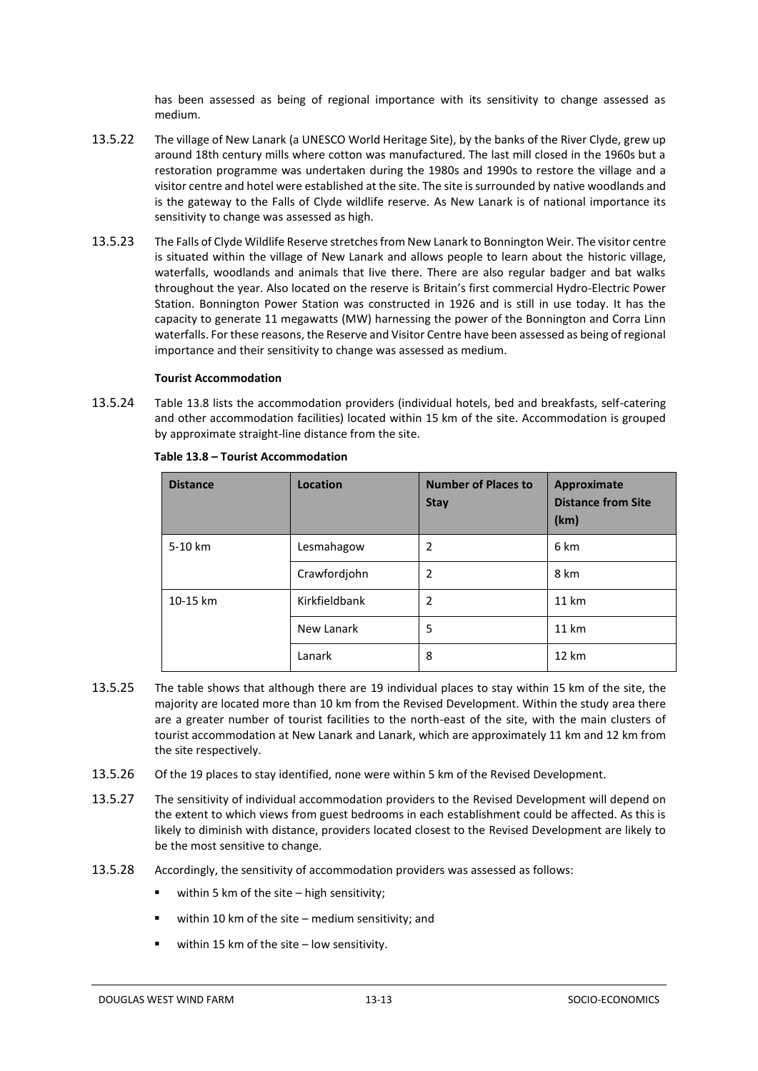has been assessed as being of regional importance with its sensitivity to change assessed as medium.

- 13.5.22 The village of New Lanark (a UNESCO World Heritage Site), by the banks of the River Clyde, grew up around 18th century mills where cotton was manufactured. The last mill closed in the 1960s but a restoration programme was undertaken during the 1980s and 1990s to restore the village and a visitor centre and hotel were established at the site. The site is surrounded by native woodlands and is the gateway to the Falls of Clyde wildlife reserve. As New Lanark is of national importance its sensitivity to change was assessed as high.
- 13.5.23 The Falls of Clyde Wildlife Reserve stretches from New Lanark to Bonnington Weir. The visitor centre is situated within the village of New Lanark and allows people to learn about the historic village, waterfalls, woodlands and animals that live there. There are also regular badger and bat walks throughout the year. Also located on the reserve is Britain's first commercial Hydro-Electric Power Station. Bonnington Power Station was constructed in 1926 and is still in use today. It has the capacity to generate 11 megawatts (MW) harnessing the power of the Bonnington and Corra Linn waterfalls. For these reasons, the Reserve and Visitor Centre have been assessed as being of regional importance and their sensitivity to change was assessed as medium.

#### **Tourist Accommodation**

<span id="page-14-0"></span>13.5.24 [Table 13.8](#page-14-0) lists the accommodation providers (individual hotels, bed and breakfasts, self-catering and other accommodation facilities) located within 15 km of the site. Accommodation is grouped by approximate straight-line distance from the site.

| <b>Distance</b> | <b>Location</b> | <b>Number of Places to</b><br><b>Stay</b> | Approximate<br><b>Distance from Site</b><br>(km) |
|-----------------|-----------------|-------------------------------------------|--------------------------------------------------|
| $5-10$ km       | Lesmahagow      | 2                                         | 6 km                                             |
|                 | Crawfordjohn    | 2                                         | 8 km                                             |
| 10-15 km        | Kirkfieldbank   | 2                                         | <b>11 km</b>                                     |
|                 | New Lanark      | 5                                         | <b>11 km</b>                                     |
|                 | Lanark          | 8                                         | 12 km                                            |

**Table 13.8 – Tourist Accommodation** 

- 13.5.25 The table shows that although there are 19 individual places to stay within 15 km of the site, the majority are located more than 10 km from the Revised Development. Within the study area there are a greater number of tourist facilities to the north-east of the site, with the main clusters of tourist accommodation at New Lanark and Lanark, which are approximately 11 km and 12 km from the site respectively.
- 13.5.26 Of the 19 places to stay identified, none were within 5 km of the Revised Development.
- 13.5.27 The sensitivity of individual accommodation providers to the Revised Development will depend on the extent to which views from guest bedrooms in each establishment could be affected. As this is likely to diminish with distance, providers located closest to the Revised Development are likely to be the most sensitive to change.
- 13.5.28 Accordingly, the sensitivity of accommodation providers was assessed as follows:
	- within 5 km of the site high sensitivity;
	- within 10 km of the site medium sensitivity; and
	- $\blacksquare$  within 15 km of the site low sensitivity.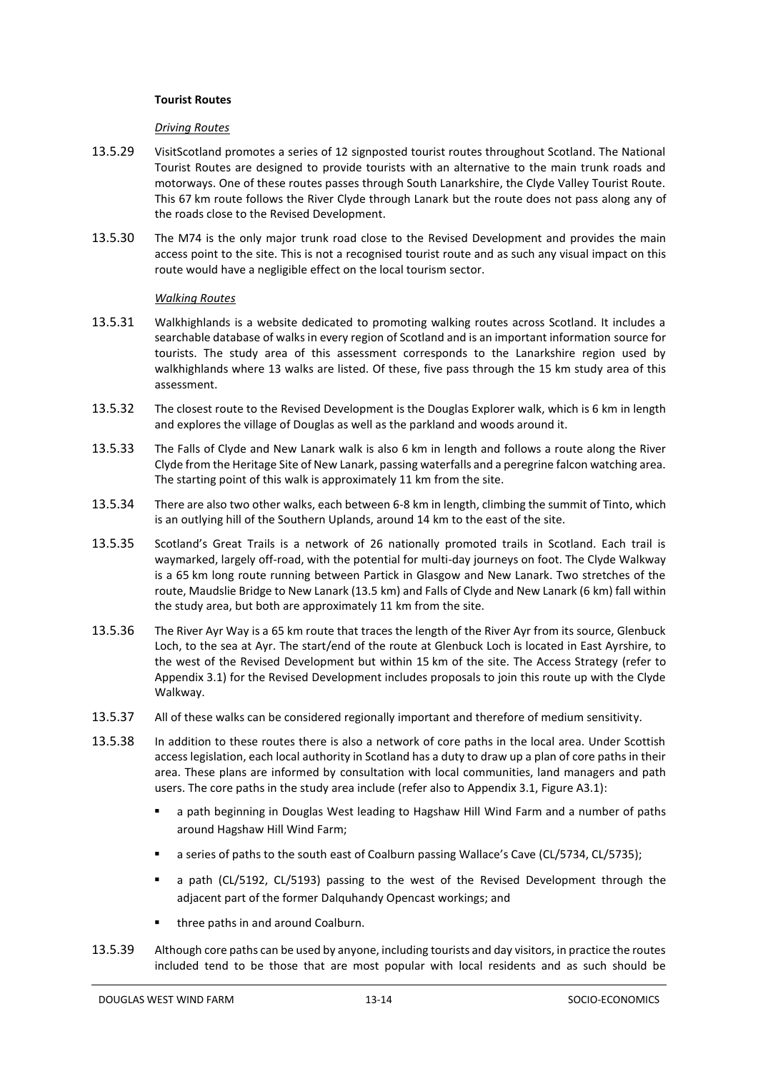#### **Tourist Routes**

#### *Driving Routes*

- 13.5.29 VisitScotland promotes a series of 12 signposted tourist routes throughout Scotland. The National Tourist Routes are designed to provide tourists with an alternative to the main trunk roads and motorways. One of these routes passes through South Lanarkshire, the Clyde Valley Tourist Route. This 67 km route follows the River Clyde through Lanark but the route does not pass along any of the roads close to the Revised Development.
- 13.5.30 The M74 is the only major trunk road close to the Revised Development and provides the main access point to the site. This is not a recognised tourist route and as such any visual impact on this route would have a negligible effect on the local tourism sector.

#### *Walking Routes*

- 13.5.31 Walkhighlands is a website dedicated to promoting walking routes across Scotland. It includes a searchable database of walks in every region of Scotland and is an important information source for tourists. The study area of this assessment corresponds to the Lanarkshire region used by walkhighlands where 13 walks are listed. Of these, five pass through the 15 km study area of this assessment.
- 13.5.32 The closest route to the Revised Development is the Douglas Explorer walk, which is 6 km in length and explores the village of Douglas as well as the parkland and woods around it.
- 13.5.33 The Falls of Clyde and New Lanark walk is also 6 km in length and follows a route along the River Clyde from the Heritage Site of New Lanark, passing waterfalls and a peregrine falcon watching area. The starting point of this walk is approximately 11 km from the site.
- 13.5.34 There are also two other walks, each between 6-8 km in length, climbing the summit of Tinto, which is an outlying hill of the Southern Uplands, around 14 km to the east of the site.
- 13.5.35 Scotland's Great Trails is a network of 26 nationally promoted trails in Scotland. Each trail is waymarked, largely off-road, with the potential for multi-day journeys on foot. The Clyde Walkway is a 65 km long route running between Partick in Glasgow and New Lanark. Two stretches of the route, Maudslie Bridge to New Lanark (13.5 km) and Falls of Clyde and New Lanark (6 km) fall within the study area, but both are approximately 11 km from the site.
- 13.5.36 The River Ayr Way is a 65 km route that traces the length of the River Ayr from its source, Glenbuck Loch, to the sea at Ayr. The start/end of the route at Glenbuck Loch is located in East Ayrshire, to the west of the Revised Development but within 15 km of the site. The Access Strategy (refer to Appendix 3.1) for the Revised Development includes proposals to join this route up with the Clyde Walkway.
- 13.5.37 All of these walks can be considered regionally important and therefore of medium sensitivity.
- 13.5.38 In addition to these routes there is also a network of core paths in the local area. Under Scottish access legislation, each local authority in Scotland has a duty to draw up a plan of core paths in their area. These plans are informed by consultation with local communities, land managers and path users. The core paths in the study area include (refer also to Appendix 3.1, Figure A3.1):
	- a path beginning in Douglas West leading to Hagshaw Hill Wind Farm and a number of paths around Hagshaw Hill Wind Farm;
	- a series of paths to the south east of Coalburn passing Wallace's Cave (CL/5734, CL/5735);
	- a path (CL/5192, CL/5193) passing to the west of the Revised Development through the adjacent part of the former Dalquhandy Opencast workings; and
	- **three paths in and around Coalburn.**
- 13.5.39 Although core paths can be used by anyone, including tourists and day visitors, in practice the routes included tend to be those that are most popular with local residents and as such should be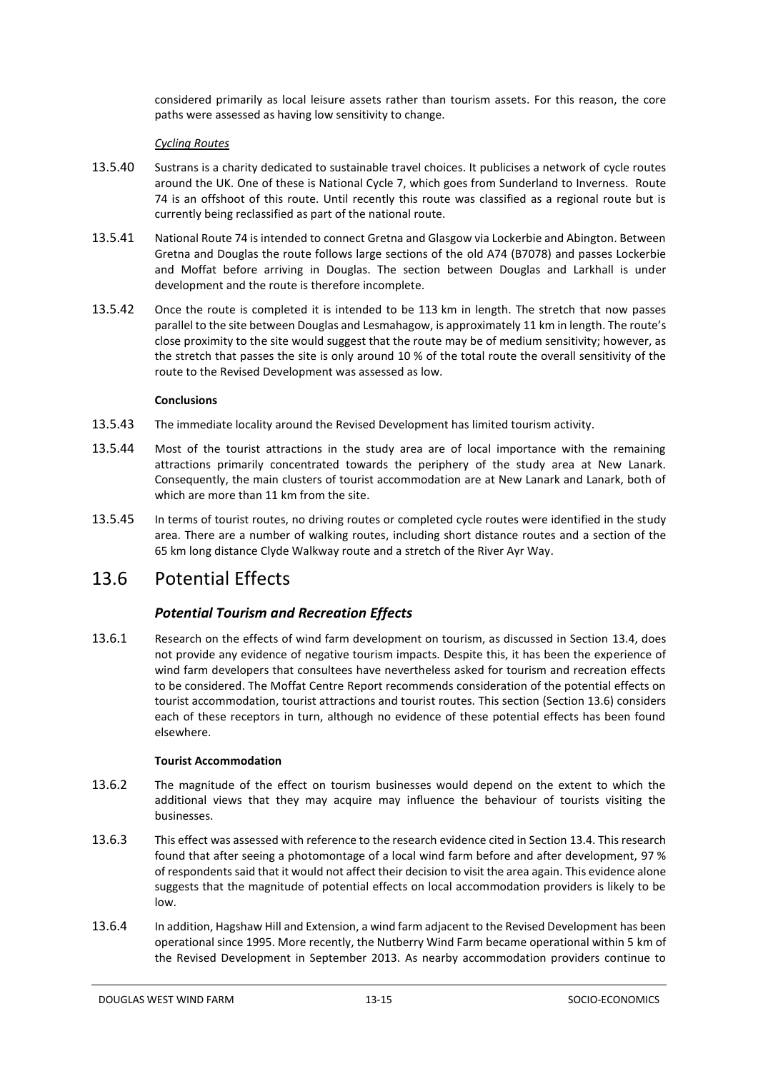considered primarily as local leisure assets rather than tourism assets. For this reason, the core paths were assessed as having low sensitivity to change.

#### *Cycling Routes*

- 13.5.40 Sustrans is a charity dedicated to sustainable travel choices. It publicises a network of cycle routes around the UK. One of these is National Cycle 7, which goes from Sunderland to Inverness. Route 74 is an offshoot of this route. Until recently this route was classified as a regional route but is currently being reclassified as part of the national route.
- 13.5.41 National Route 74 is intended to connect Gretna and Glasgow via Lockerbie and Abington. Between Gretna and Douglas the route follows large sections of the old A74 (B7078) and passes Lockerbie and Moffat before arriving in Douglas. The section between Douglas and Larkhall is under development and the route is therefore incomplete.
- 13.5.42 Once the route is completed it is intended to be 113 km in length. The stretch that now passes parallel to the site between Douglas and Lesmahagow, is approximately 11 km in length. The route's close proximity to the site would suggest that the route may be of medium sensitivity; however, as the stretch that passes the site is only around 10 % of the total route the overall sensitivity of the route to the Revised Development was assessed as low.

#### **Conclusions**

- 13.5.43 The immediate locality around the Revised Development has limited tourism activity.
- 13.5.44 Most of the tourist attractions in the study area are of local importance with the remaining attractions primarily concentrated towards the periphery of the study area at New Lanark. Consequently, the main clusters of tourist accommodation are at New Lanark and Lanark, both of which are more than 11 km from the site.
- 13.5.45 In terms of tourist routes, no driving routes or completed cycle routes were identified in the study area. There are a number of walking routes, including short distance routes and a section of the 65 km long distance Clyde Walkway route and a stretch of the River Ayr Way.

# <span id="page-16-0"></span>13.6 Potential Effects

# *Potential Tourism and Recreation Effects*

13.6.1 Research on the effects of wind farm development on tourism, as discussed in Section [13.4,](#page-4-0) does not provide any evidence of negative tourism impacts. Despite this, it has been the experience of wind farm developers that consultees have nevertheless asked for tourism and recreation effects to be considered. The Moffat Centre Report recommends consideration of the potential effects on tourist accommodation, tourist attractions and tourist routes. This section (Section 13.6) considers each of these receptors in turn, although no evidence of these potential effects has been found elsewhere.

#### **Tourist Accommodation**

- 13.6.2 The magnitude of the effect on tourism businesses would depend on the extent to which the additional views that they may acquire may influence the behaviour of tourists visiting the businesses.
- 13.6.3 This effect was assessed with reference to the research evidence cited in Sectio[n 13.4.](#page-4-0) This research found that after seeing a photomontage of a local wind farm before and after development, 97 % of respondents said that it would not affect their decision to visit the area again. This evidence alone suggests that the magnitude of potential effects on local accommodation providers is likely to be low.
- 13.6.4 In addition, Hagshaw Hill and Extension, a wind farm adjacent to the Revised Development has been operational since 1995. More recently, the Nutberry Wind Farm became operational within 5 km of the Revised Development in September 2013. As nearby accommodation providers continue to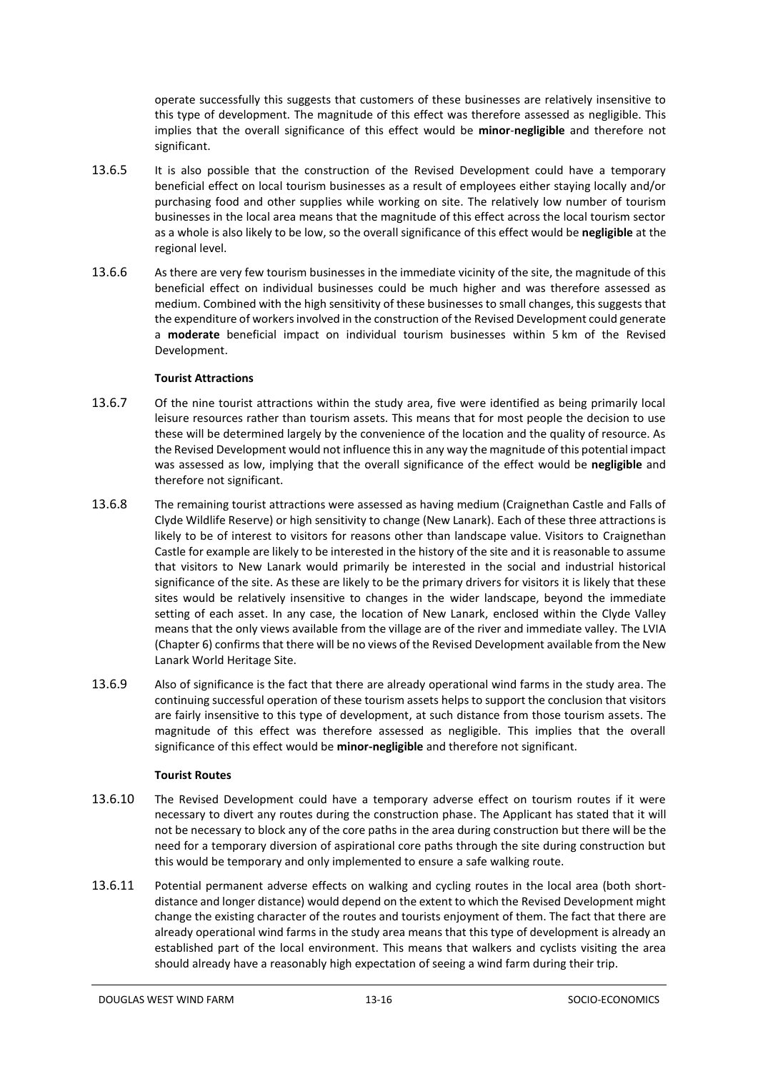operate successfully this suggests that customers of these businesses are relatively insensitive to this type of development. The magnitude of this effect was therefore assessed as negligible. This implies that the overall significance of this effect would be **minor**-**negligible** and therefore not significant.

- 13.6.5 It is also possible that the construction of the Revised Development could have a temporary beneficial effect on local tourism businesses as a result of employees either staying locally and/or purchasing food and other supplies while working on site. The relatively low number of tourism businesses in the local area means that the magnitude of this effect across the local tourism sector as a whole is also likely to be low, so the overall significance of this effect would be **negligible** at the regional level.
- 13.6.6 As there are very few tourism businesses in the immediate vicinity of the site, the magnitude of this beneficial effect on individual businesses could be much higher and was therefore assessed as medium. Combined with the high sensitivity of these businesses to small changes, this suggests that the expenditure of workers involved in the construction of the Revised Development could generate a **moderate** beneficial impact on individual tourism businesses within 5 km of the Revised Development.

#### **Tourist Attractions**

- 13.6.7 Of the nine tourist attractions within the study area, five were identified as being primarily local leisure resources rather than tourism assets. This means that for most people the decision to use these will be determined largely by the convenience of the location and the quality of resource. As the Revised Development would not influence this in any way the magnitude of this potential impact was assessed as low, implying that the overall significance of the effect would be **negligible** and therefore not significant.
- 13.6.8 The remaining tourist attractions were assessed as having medium (Craignethan Castle and Falls of Clyde Wildlife Reserve) or high sensitivity to change (New Lanark). Each of these three attractions is likely to be of interest to visitors for reasons other than landscape value. Visitors to Craignethan Castle for example are likely to be interested in the history of the site and it is reasonable to assume that visitors to New Lanark would primarily be interested in the social and industrial historical significance of the site. As these are likely to be the primary drivers for visitors it is likely that these sites would be relatively insensitive to changes in the wider landscape, beyond the immediate setting of each asset. In any case, the location of New Lanark, enclosed within the Clyde Valley means that the only views available from the village are of the river and immediate valley. The LVIA (Chapter 6) confirms that there will be no views of the Revised Development available from the New Lanark World Heritage Site.
- 13.6.9 Also of significance is the fact that there are already operational wind farms in the study area. The continuing successful operation of these tourism assets helps to support the conclusion that visitors are fairly insensitive to this type of development, at such distance from those tourism assets. The magnitude of this effect was therefore assessed as negligible. This implies that the overall significance of this effect would be **minor-negligible** and therefore not significant.

### **Tourist Routes**

- 13.6.10 The Revised Development could have a temporary adverse effect on tourism routes if it were necessary to divert any routes during the construction phase. The Applicant has stated that it will not be necessary to block any of the core paths in the area during construction but there will be the need for a temporary diversion of aspirational core paths through the site during construction but this would be temporary and only implemented to ensure a safe walking route.
- 13.6.11 Potential permanent adverse effects on walking and cycling routes in the local area (both shortdistance and longer distance) would depend on the extent to which the Revised Development might change the existing character of the routes and tourists enjoyment of them. The fact that there are already operational wind farms in the study area means that this type of development is already an established part of the local environment. This means that walkers and cyclists visiting the area should already have a reasonably high expectation of seeing a wind farm during their trip.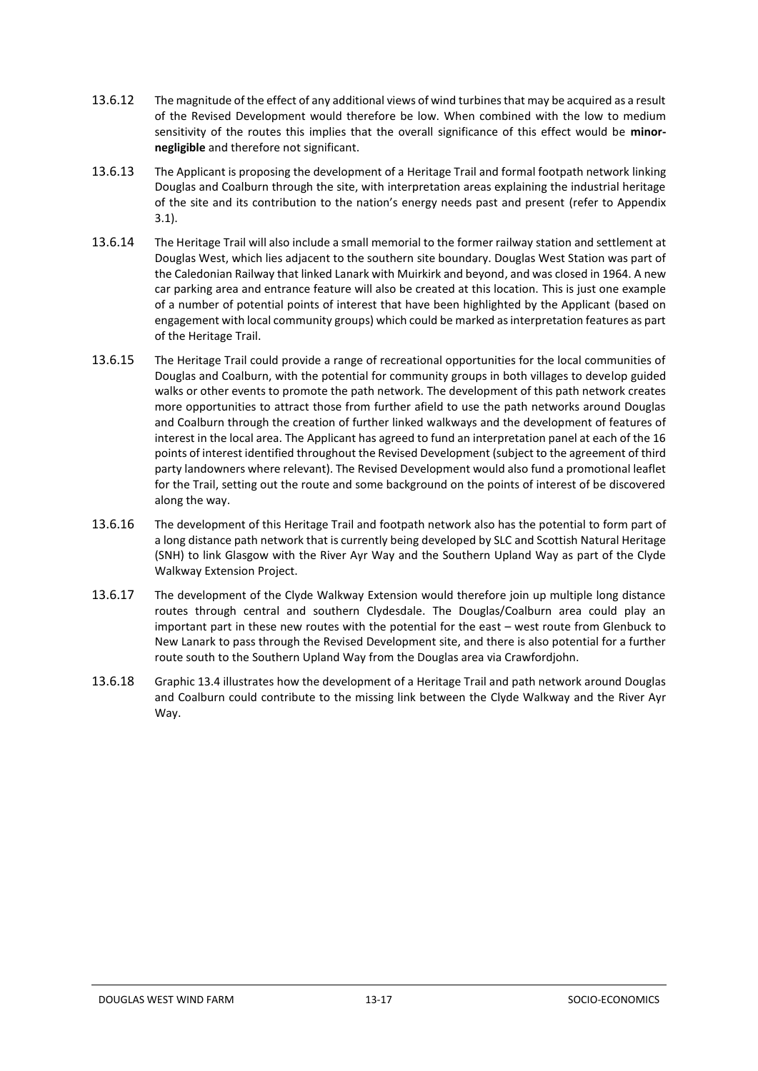- 13.6.12 The magnitude of the effect of any additional views of wind turbines that may be acquired as a result of the Revised Development would therefore be low. When combined with the low to medium sensitivity of the routes this implies that the overall significance of this effect would be **minornegligible** and therefore not significant.
- 13.6.13 The Applicant is proposing the development of a Heritage Trail and formal footpath network linking Douglas and Coalburn through the site, with interpretation areas explaining the industrial heritage of the site and its contribution to the nation's energy needs past and present (refer to Appendix 3.1).
- 13.6.14 The Heritage Trail will also include a small memorial to the former railway station and settlement at Douglas West, which lies adjacent to the southern site boundary. Douglas West Station was part of the Caledonian Railway that linked Lanark with Muirkirk and beyond, and was closed in 1964. A new car parking area and entrance feature will also be created at this location. This is just one example of a number of potential points of interest that have been highlighted by the Applicant (based on engagement with local community groups) which could be marked as interpretation features as part of the Heritage Trail.
- 13.6.15 The Heritage Trail could provide a range of recreational opportunities for the local communities of Douglas and Coalburn, with the potential for community groups in both villages to develop guided walks or other events to promote the path network. The development of this path network creates more opportunities to attract those from further afield to use the path networks around Douglas and Coalburn through the creation of further linked walkways and the development of features of interest in the local area. The Applicant has agreed to fund an interpretation panel at each of the 16 points of interest identified throughout the Revised Development (subject to the agreement of third party landowners where relevant). The Revised Development would also fund a promotional leaflet for the Trail, setting out the route and some background on the points of interest of be discovered along the way.
- 13.6.16 The development of this Heritage Trail and footpath network also has the potential to form part of a long distance path network that is currently being developed by SLC and Scottish Natural Heritage (SNH) to link Glasgow with the River Ayr Way and the Southern Upland Way as part of the Clyde Walkway Extension Project.
- 13.6.17 The development of the Clyde Walkway Extension would therefore join up multiple long distance routes through central and southern Clydesdale. The Douglas/Coalburn area could play an important part in these new routes with the potential for the east – west route from Glenbuck to New Lanark to pass through the Revised Development site, and there is also potential for a further route south to the Southern Upland Way from the Douglas area via Crawfordjohn.
- 13.6.18 Graphic 13.4 illustrates how the development of a Heritage Trail and path network around Douglas and Coalburn could contribute to the missing link between the Clyde Walkway and the River Ayr Way.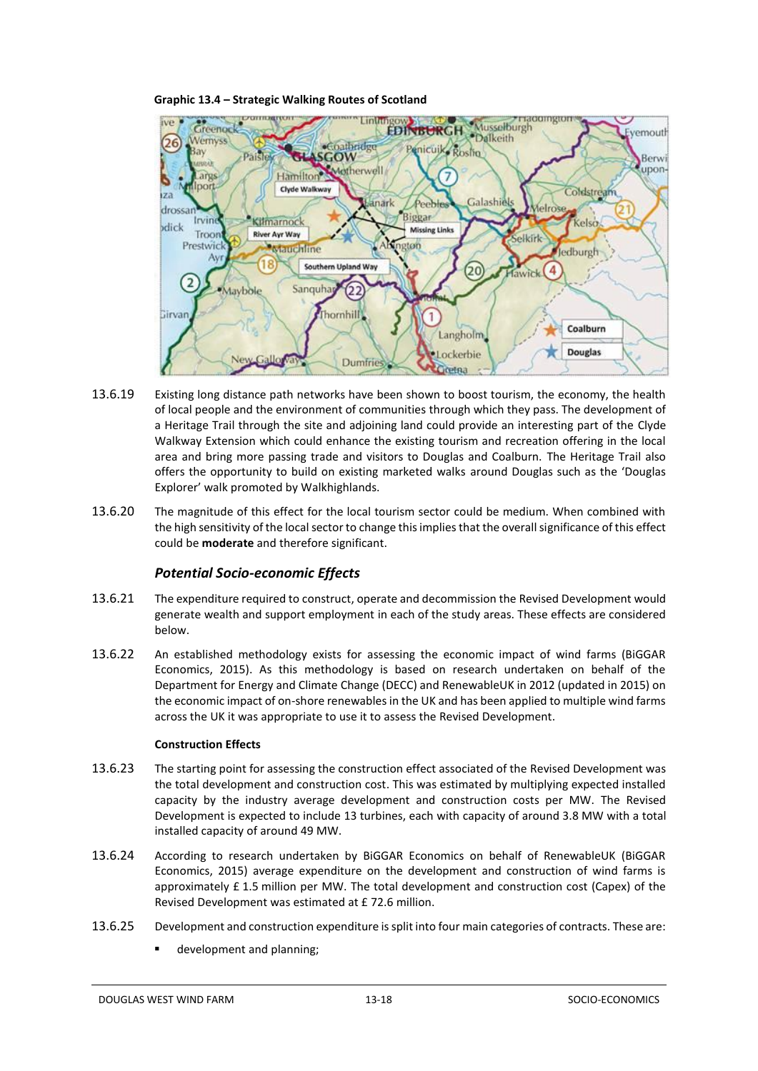#### **Graphic 13.4 – Strategic Walking Routes of Scotland**



- 13.6.19 Existing long distance path networks have been shown to boost tourism, the economy, the health of local people and the environment of communities through which they pass. The development of a Heritage Trail through the site and adjoining land could provide an interesting part of the Clyde Walkway Extension which could enhance the existing tourism and recreation offering in the local area and bring more passing trade and visitors to Douglas and Coalburn. The Heritage Trail also offers the opportunity to build on existing marketed walks around Douglas such as the 'Douglas Explorer' walk promoted by Walkhighlands.
- 13.6.20 The magnitude of this effect for the local tourism sector could be medium. When combined with the high sensitivity of the local sector to change this implies that the overall significance of this effect could be **moderate** and therefore significant.

# *Potential Socio-economic Effects*

- 13.6.21 The expenditure required to construct, operate and decommission the Revised Development would generate wealth and support employment in each of the study areas. These effects are considered below.
- 13.6.22 An established methodology exists for assessing the economic impact of wind farms (BiGGAR Economics, 2015). As this methodology is based on research undertaken on behalf of the Department for Energy and Climate Change (DECC) and RenewableUK in 2012 (updated in 2015) on the economic impact of on-shore renewables in the UK and has been applied to multiple wind farms across the UK it was appropriate to use it to assess the Revised Development.

### **Construction Effects**

- 13.6.23 The starting point for assessing the construction effect associated of the Revised Development was the total development and construction cost. This was estimated by multiplying expected installed capacity by the industry average development and construction costs per MW. The Revised Development is expected to include 13 turbines, each with capacity of around 3.8 MW with a total installed capacity of around 49 MW.
- 13.6.24 According to research undertaken by BiGGAR Economics on behalf of RenewableUK (BiGGAR Economics, 2015) average expenditure on the development and construction of wind farms is approximately £ 1.5 million per MW. The total development and construction cost (Capex) of the Revised Development was estimated at £ 72.6 million.
- 13.6.25 Development and construction expenditure is split into four main categories of contracts. These are:
	- development and planning;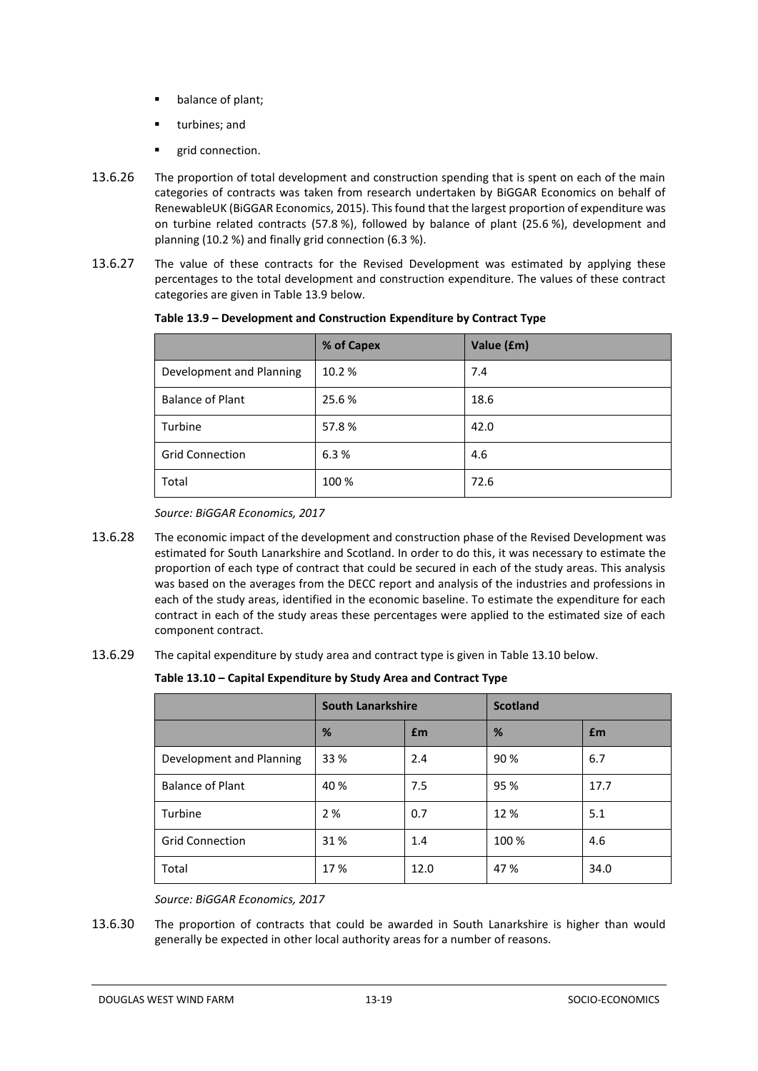- balance of plant;
- **turbines**: and
- grid connection.
- 13.6.26 The proportion of total development and construction spending that is spent on each of the main categories of contracts was taken from research undertaken by BiGGAR Economics on behalf of RenewableUK (BiGGAR Economics, 2015). This found that the largest proportion of expenditure was on turbine related contracts (57.8 %), followed by balance of plant (25.6 %), development and planning (10.2 %) and finally grid connection (6.3 %).
- 13.6.27 The value of these contracts for the Revised Development was estimated by applying these percentages to the total development and construction expenditure. The values of these contract categories are given in Table 13.9 below.

|                          | % of Capex | Value (£m) |
|--------------------------|------------|------------|
| Development and Planning | 10.2%      | 7.4        |
| <b>Balance of Plant</b>  | 25.6 %     | 18.6       |
| Turbine                  | 57.8%      | 42.0       |
| <b>Grid Connection</b>   | 6.3%       | 4.6        |
| Total                    | 100 %      | 72.6       |

#### **Table 13.9 – Development and Construction Expenditure by Contract Type**

*Source: BiGGAR Economics, 2017*

- 13.6.28 The economic impact of the development and construction phase of the Revised Development was estimated for South Lanarkshire and Scotland. In order to do this, it was necessary to estimate the proportion of each type of contract that could be secured in each of the study areas. This analysis was based on the averages from the DECC report and analysis of the industries and professions in each of the study areas, identified in the economic baseline. To estimate the expenditure for each contract in each of the study areas these percentages were applied to the estimated size of each component contract.
- 13.6.29 The capital expenditure by study area and contract type is given in Table 13.10 below.

#### **Table 13.10 – Capital Expenditure by Study Area and Contract Type**

|                          | <b>South Lanarkshire</b> |      | <b>Scotland</b> |      |
|--------------------------|--------------------------|------|-----------------|------|
|                          | %                        | £m   | %               | £m   |
| Development and Planning | 33 %                     | 2.4  | 90 %            | 6.7  |
| <b>Balance of Plant</b>  | 40 %                     | 7.5  | 95 %            | 17.7 |
| Turbine                  | 2 %                      | 0.7  | 12 %            | 5.1  |
| <b>Grid Connection</b>   | 31 %                     | 1.4  | 100 %           | 4.6  |
| Total                    | 17 %                     | 12.0 | 47 %            | 34.0 |

*Source: BiGGAR Economics, 2017*

13.6.30 The proportion of contracts that could be awarded in South Lanarkshire is higher than would generally be expected in other local authority areas for a number of reasons.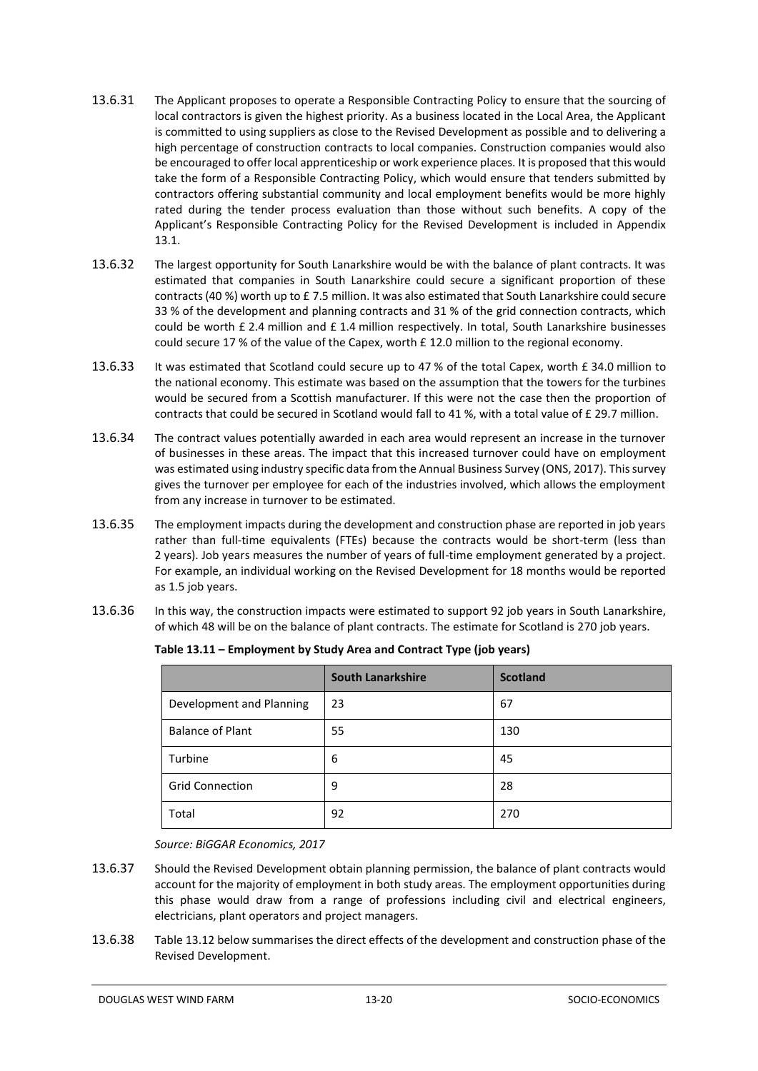- 13.6.31 The Applicant proposes to operate a Responsible Contracting Policy to ensure that the sourcing of local contractors is given the highest priority. As a business located in the Local Area, the Applicant is committed to using suppliers as close to the Revised Development as possible and to delivering a high percentage of construction contracts to local companies. Construction companies would also be encouraged to offer local apprenticeship or work experience places. It is proposed that this would take the form of a Responsible Contracting Policy, which would ensure that tenders submitted by contractors offering substantial community and local employment benefits would be more highly rated during the tender process evaluation than those without such benefits. A copy of the Applicant's Responsible Contracting Policy for the Revised Development is included in Appendix 13.1.
- 13.6.32 The largest opportunity for South Lanarkshire would be with the balance of plant contracts. It was estimated that companies in South Lanarkshire could secure a significant proportion of these contracts (40 %) worth up to £ 7.5 million. It was also estimated that South Lanarkshire could secure 33 % of the development and planning contracts and 31 % of the grid connection contracts, which could be worth £ 2.4 million and £ 1.4 million respectively. In total, South Lanarkshire businesses could secure 17 % of the value of the Capex, worth £ 12.0 million to the regional economy.
- 13.6.33 It was estimated that Scotland could secure up to 47 % of the total Capex, worth £ 34.0 million to the national economy. This estimate was based on the assumption that the towers for the turbines would be secured from a Scottish manufacturer. If this were not the case then the proportion of contracts that could be secured in Scotland would fall to 41 %, with a total value of £ 29.7 million.
- 13.6.34 The contract values potentially awarded in each area would represent an increase in the turnover of businesses in these areas. The impact that this increased turnover could have on employment was estimated using industry specific data from the Annual Business Survey (ONS, 2017). Thissurvey gives the turnover per employee for each of the industries involved, which allows the employment from any increase in turnover to be estimated.
- 13.6.35 The employment impacts during the development and construction phase are reported in job years rather than full-time equivalents (FTEs) because the contracts would be short-term (less than 2 years). Job years measures the number of years of full-time employment generated by a project. For example, an individual working on the Revised Development for 18 months would be reported as 1.5 job years.
- 13.6.36 In this way, the construction impacts were estimated to support 92 job years in South Lanarkshire, of which 48 will be on the balance of plant contracts. The estimate for Scotland is 270 job years.

|                          | <b>South Lanarkshire</b> | <b>Scotland</b> |  |
|--------------------------|--------------------------|-----------------|--|
| Development and Planning | 23                       | 67              |  |
| <b>Balance of Plant</b>  | 55                       | 130             |  |
| Turbine                  | 6                        | 45              |  |
| <b>Grid Connection</b>   | 9                        | 28              |  |
| Total                    | 92                       | 270             |  |

**Table 13.11 – Employment by Study Area and Contract Type (job years)** 

*Source: BiGGAR Economics, 2017*

- 13.6.37 Should the Revised Development obtain planning permission, the balance of plant contracts would account for the majority of employment in both study areas. The employment opportunities during this phase would draw from a range of professions including civil and electrical engineers, electricians, plant operators and project managers.
- 13.6.38 [Table 13.12](#page-22-0) below summarises the direct effects of the development and construction phase of the Revised Development.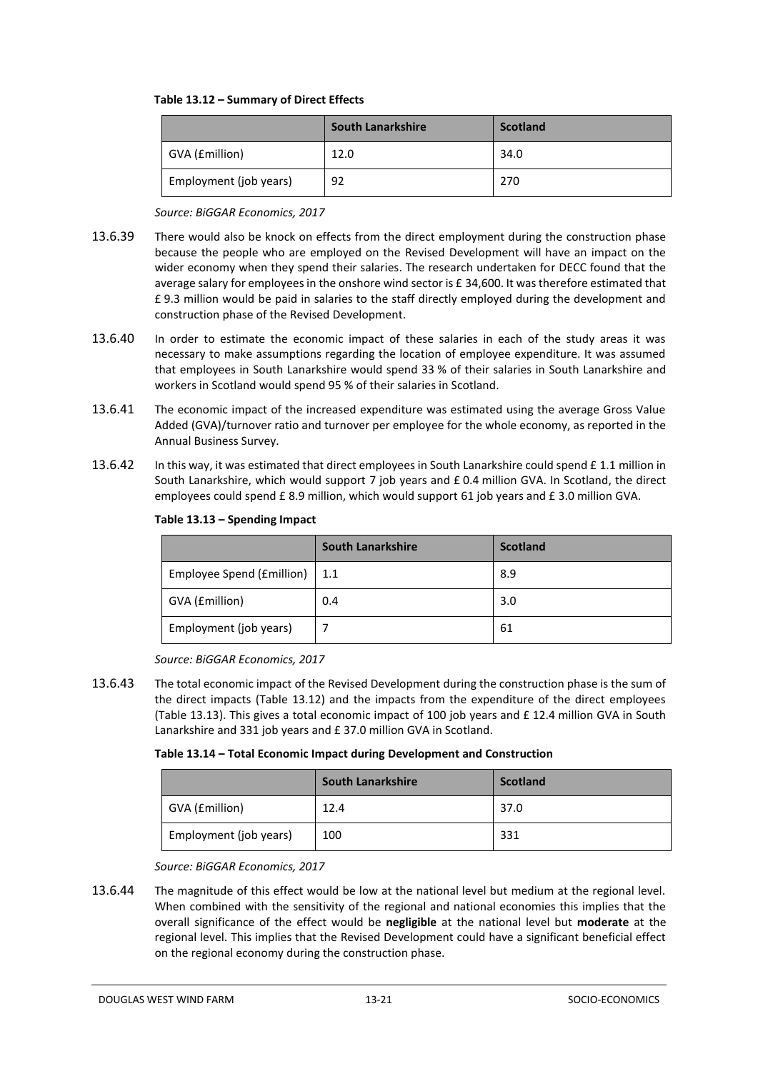#### <span id="page-22-0"></span>**Table 13.12 – Summary of Direct Effects**

|                        | <b>South Lanarkshire</b> | <b>Scotland</b> |
|------------------------|--------------------------|-----------------|
| GVA (£million)         | 12.0                     | 34.0            |
| Employment (job years) | 92                       | 270             |

*Source: BiGGAR Economics, 2017*

- 13.6.39 There would also be knock on effects from the direct employment during the construction phase because the people who are employed on the Revised Development will have an impact on the wider economy when they spend their salaries. The research undertaken for DECC found that the average salary for employees in the onshore wind sector is £ 34,600. It was therefore estimated that £ 9.3 million would be paid in salaries to the staff directly employed during the development and construction phase of the Revised Development.
- 13.6.40 In order to estimate the economic impact of these salaries in each of the study areas it was necessary to make assumptions regarding the location of employee expenditure. It was assumed that employees in South Lanarkshire would spend 33 % of their salaries in South Lanarkshire and workers in Scotland would spend 95 % of their salaries in Scotland.
- 13.6.41 The economic impact of the increased expenditure was estimated using the average Gross Value Added (GVA)/turnover ratio and turnover per employee for the whole economy, as reported in the Annual Business Survey.
- <span id="page-22-1"></span>13.6.42 In this way, it was estimated that direct employees in South Lanarkshire could spend £ 1.1 million in South Lanarkshire, which would support 7 job years and £ 0.4 million GVA. In Scotland, the direct employees could spend £ 8.9 million, which would support 61 job years and £ 3.0 million GVA.

|                                 | <b>South Lanarkshire</b> | <b>Scotland</b> |  |
|---------------------------------|--------------------------|-----------------|--|
| Employee Spend (£million)   1.1 |                          | 8.9             |  |
| GVA (£million)                  | 0.4                      | 3.0             |  |
| Employment (job years)          |                          | 61              |  |

#### **Table 13.13 – Spending Impact**

*Source: BiGGAR Economics, 2017*

13.6.43 The total economic impact of the Revised Development during the construction phase is the sum of the direct impacts [\(Table 13.12\)](#page-22-0) and the impacts from the expenditure of the direct employees [\(Table 13.13\)](#page-22-1). This gives a total economic impact of 100 job years and £ 12.4 million GVA in South Lanarkshire and 331 job years and £ 37.0 million GVA in Scotland.

#### **Table 13.14 – Total Economic Impact during Development and Construction**

|                        | <b>South Lanarkshire</b> | <b>Scotland</b> |  |
|------------------------|--------------------------|-----------------|--|
| GVA (£million)         | 12.4                     | 37.0            |  |
| Employment (job years) | 100                      | 331             |  |

*Source: BiGGAR Economics, 2017*

13.6.44 The magnitude of this effect would be low at the national level but medium at the regional level. When combined with the sensitivity of the regional and national economies this implies that the overall significance of the effect would be **negligible** at the national level but **moderate** at the regional level. This implies that the Revised Development could have a significant beneficial effect on the regional economy during the construction phase.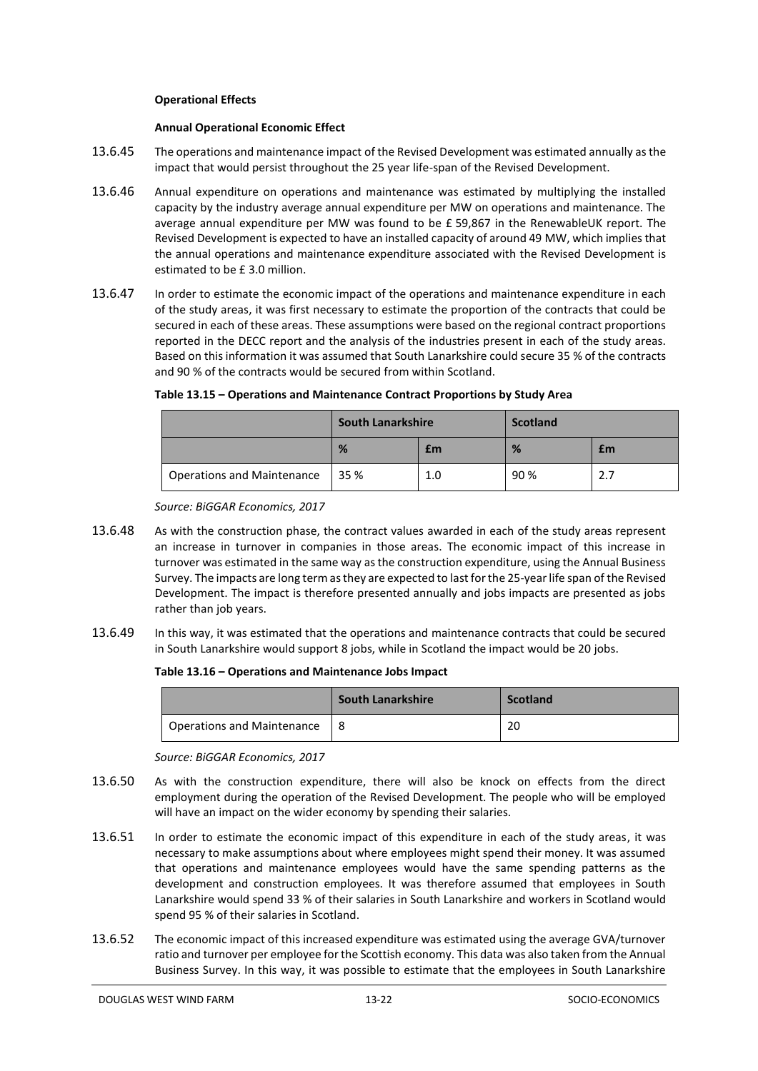#### **Operational Effects**

#### **Annual Operational Economic Effect**

- 13.6.45 The operations and maintenance impact of the Revised Development was estimated annually as the impact that would persist throughout the 25 year life-span of the Revised Development.
- 13.6.46 Annual expenditure on operations and maintenance was estimated by multiplying the installed capacity by the industry average annual expenditure per MW on operations and maintenance. The average annual expenditure per MW was found to be £ 59,867 in the RenewableUK report. The Revised Development is expected to have an installed capacity of around 49 MW, which implies that the annual operations and maintenance expenditure associated with the Revised Development is estimated to be £ 3.0 million.
- 13.6.47 In order to estimate the economic impact of the operations and maintenance expenditure in each of the study areas, it was first necessary to estimate the proportion of the contracts that could be secured in each of these areas. These assumptions were based on the regional contract proportions reported in the DECC report and the analysis of the industries present in each of the study areas. Based on this information it was assumed that South Lanarkshire could secure 35 % of the contracts and 90 % of the contracts would be secured from within Scotland.

#### **Table 13.15 – Operations and Maintenance Contract Proportions by Study Area**

|                                           | <b>South Lanarkshire</b> |  | <b>Scotland</b> |     |
|-------------------------------------------|--------------------------|--|-----------------|-----|
|                                           | %<br>£m                  |  | %               | £m  |
| <b>Operations and Maintenance</b><br>35 % |                          |  | 90 %            | 2.7 |

*Source: BiGGAR Economics, 2017*

- 13.6.48 As with the construction phase, the contract values awarded in each of the study areas represent an increase in turnover in companies in those areas. The economic impact of this increase in turnover was estimated in the same way as the construction expenditure, using the Annual Business Survey. The impacts are long term as they are expected to last for the 25-year life span of the Revised Development. The impact is therefore presented annually and jobs impacts are presented as jobs rather than job years.
- 13.6.49 In this way, it was estimated that the operations and maintenance contracts that could be secured in South Lanarkshire would support 8 jobs, while in Scotland the impact would be 20 jobs.

#### **Table 13.16 – Operations and Maintenance Jobs Impact**

|                            | <b>South Lanarkshire</b> | <b>Scotland</b> |
|----------------------------|--------------------------|-----------------|
| Operations and Maintenance |                          | 20              |

*Source: BiGGAR Economics, 2017*

- 13.6.50 As with the construction expenditure, there will also be knock on effects from the direct employment during the operation of the Revised Development. The people who will be employed will have an impact on the wider economy by spending their salaries.
- 13.6.51 In order to estimate the economic impact of this expenditure in each of the study areas, it was necessary to make assumptions about where employees might spend their money. It was assumed that operations and maintenance employees would have the same spending patterns as the development and construction employees. It was therefore assumed that employees in South Lanarkshire would spend 33 % of their salaries in South Lanarkshire and workers in Scotland would spend 95 % of their salaries in Scotland.
- 13.6.52 The economic impact of this increased expenditure was estimated using the average GVA/turnover ratio and turnover per employee for the Scottish economy. This data was also taken from the Annual Business Survey. In this way, it was possible to estimate that the employees in South Lanarkshire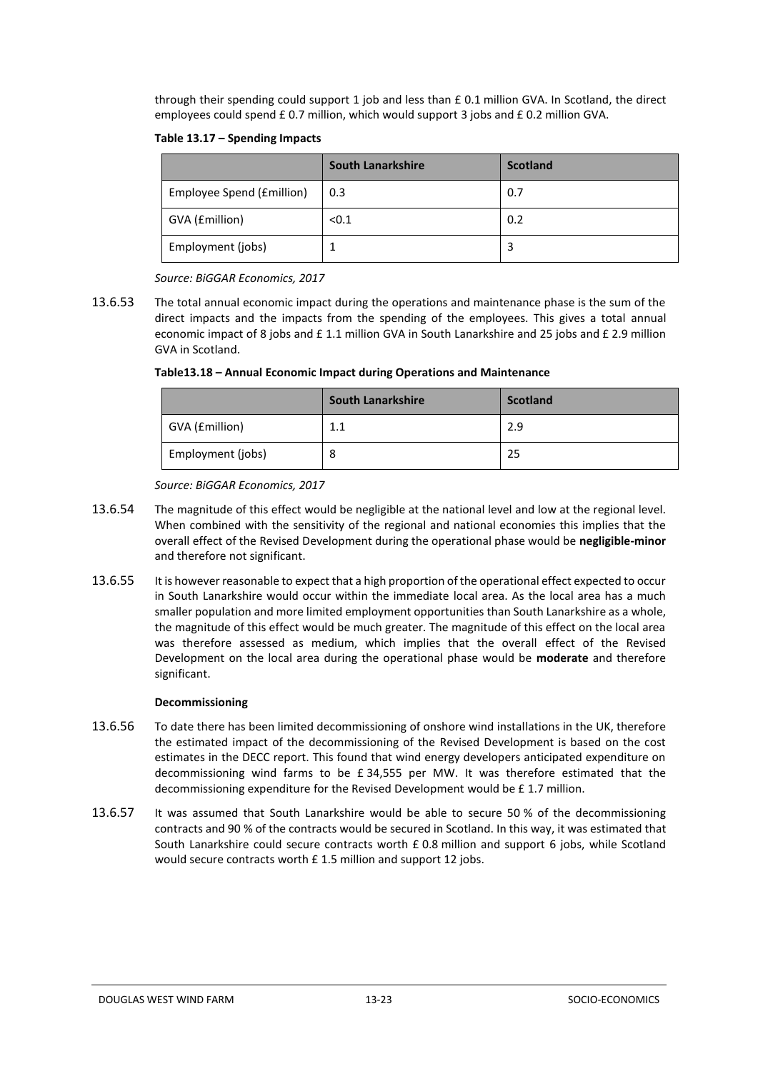through their spending could support 1 job and less than £ 0.1 million GVA. In Scotland, the direct employees could spend £ 0.7 million, which would support 3 jobs and £ 0.2 million GVA.

#### **Table 13.17 – Spending Impacts**

|                           | <b>South Lanarkshire</b> | <b>Scotland</b> |  |
|---------------------------|--------------------------|-----------------|--|
| Employee Spend (£million) | 0.3                      | 0.7             |  |
| GVA (£million)            | < 0.1                    | 0.2             |  |
| Employment (jobs)         |                          | з               |  |

*Source: BiGGAR Economics, 2017*

13.6.53 The total annual economic impact during the operations and maintenance phase is the sum of the direct impacts and the impacts from the spending of the employees. This gives a total annual economic impact of 8 jobs and £1.1 million GVA in South Lanarkshire and 25 jobs and £2.9 million GVA in Scotland.

**Table13.18 – Annual Economic Impact during Operations and Maintenance** 

|                   | <b>South Lanarkshire</b> | <b>Scotland</b> |  |
|-------------------|--------------------------|-----------------|--|
| GVA (£million)    | 1.1                      | 2.9             |  |
| Employment (jobs) | 8                        | 25              |  |

*Source: BiGGAR Economics, 2017*

- 13.6.54 The magnitude of this effect would be negligible at the national level and low at the regional level. When combined with the sensitivity of the regional and national economies this implies that the overall effect of the Revised Development during the operational phase would be **negligible-minor** and therefore not significant.
- 13.6.55 It is however reasonable to expect that a high proportion of the operational effect expected to occur in South Lanarkshire would occur within the immediate local area. As the local area has a much smaller population and more limited employment opportunities than South Lanarkshire as a whole, the magnitude of this effect would be much greater. The magnitude of this effect on the local area was therefore assessed as medium, which implies that the overall effect of the Revised Development on the local area during the operational phase would be **moderate** and therefore significant.

### **Decommissioning**

- 13.6.56 To date there has been limited decommissioning of onshore wind installations in the UK, therefore the estimated impact of the decommissioning of the Revised Development is based on the cost estimates in the DECC report. This found that wind energy developers anticipated expenditure on decommissioning wind farms to be £ 34,555 per MW. It was therefore estimated that the decommissioning expenditure for the Revised Development would be £ 1.7 million.
- 13.6.57 It was assumed that South Lanarkshire would be able to secure 50 % of the decommissioning contracts and 90 % of the contracts would be secured in Scotland. In this way, it was estimated that South Lanarkshire could secure contracts worth £ 0.8 million and support 6 jobs, while Scotland would secure contracts worth £ 1.5 million and support 12 jobs.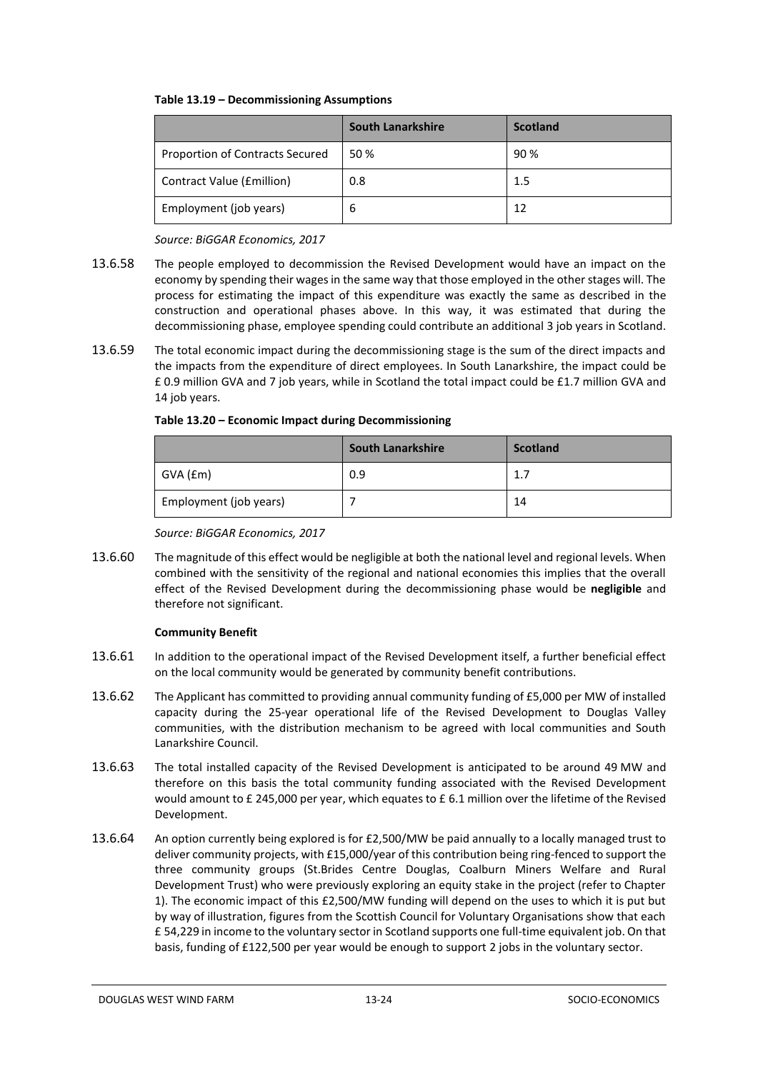#### **Table 13.19 – Decommissioning Assumptions**

|                                 | <b>South Lanarkshire</b> | <b>Scotland</b> |
|---------------------------------|--------------------------|-----------------|
| Proportion of Contracts Secured | 50 %                     | 90%             |
| Contract Value (£million)       | 0.8                      | 1.5             |
| Employment (job years)          | b                        | 12              |

*Source: BiGGAR Economics, 2017*

- 13.6.58 The people employed to decommission the Revised Development would have an impact on the economy by spending their wages in the same way that those employed in the other stages will. The process for estimating the impact of this expenditure was exactly the same as described in the construction and operational phases above. In this way, it was estimated that during the decommissioning phase, employee spending could contribute an additional 3 job years in Scotland.
- 13.6.59 The total economic impact during the decommissioning stage is the sum of the direct impacts and the impacts from the expenditure of direct employees. In South Lanarkshire, the impact could be £ 0.9 million GVA and 7 job years, while in Scotland the total impact could be £1.7 million GVA and 14 job years.

| Table 13.20 - Economic Impact during Decommissioning |  |  |  |  |  |  |  |
|------------------------------------------------------|--|--|--|--|--|--|--|
|------------------------------------------------------|--|--|--|--|--|--|--|

|                        | <b>South Lanarkshire</b> | <b>Scotland</b> |
|------------------------|--------------------------|-----------------|
| GVA (£m)               | 0.9                      | 1.7             |
| Employment (job years) |                          | 14              |

*Source: BiGGAR Economics, 2017*

13.6.60 The magnitude of this effect would be negligible at both the national level and regional levels. When combined with the sensitivity of the regional and national economies this implies that the overall effect of the Revised Development during the decommissioning phase would be **negligible** and therefore not significant.

### **Community Benefit**

- 13.6.61 In addition to the operational impact of the Revised Development itself, a further beneficial effect on the local community would be generated by community benefit contributions.
- 13.6.62 The Applicant has committed to providing annual community funding of £5,000 per MW of installed capacity during the 25-year operational life of the Revised Development to Douglas Valley communities, with the distribution mechanism to be agreed with local communities and South Lanarkshire Council.
- 13.6.63 The total installed capacity of the Revised Development is anticipated to be around 49 MW and therefore on this basis the total community funding associated with the Revised Development would amount to £ 245,000 per year, which equates to £ 6.1 million over the lifetime of the Revised Development.
- 13.6.64 An option currently being explored is for £2,500/MW be paid annually to a locally managed trust to deliver community projects, with £15,000/year of this contribution being ring-fenced to support the three community groups (St.Brides Centre Douglas, Coalburn Miners Welfare and Rural Development Trust) who were previously exploring an equity stake in the project (refer to Chapter 1). The economic impact of this £2,500/MW funding will depend on the uses to which it is put but by way of illustration, figures from the Scottish Council for Voluntary Organisations show that each £ 54,229 in income to the voluntary sector in Scotland supports one full-time equivalent job. On that basis, funding of £122,500 per year would be enough to support 2 jobs in the voluntary sector.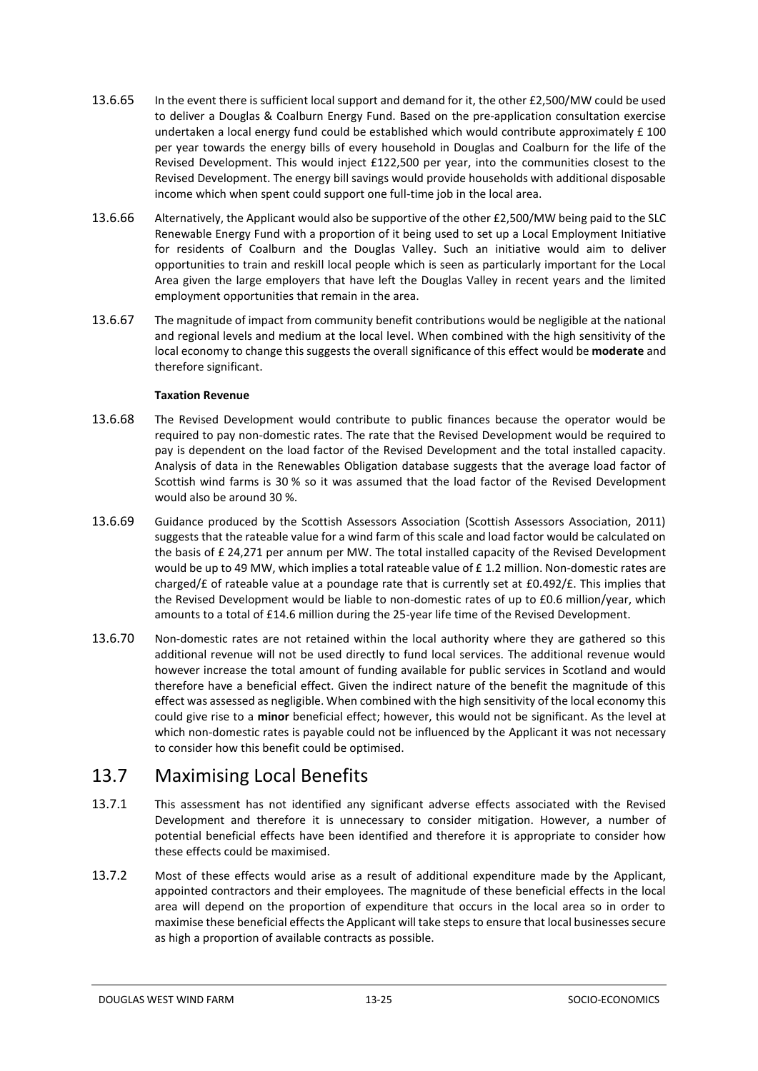- 13.6.65 In the event there is sufficient local support and demand for it, the other £2,500/MW could be used to deliver a Douglas & Coalburn Energy Fund. Based on the pre-application consultation exercise undertaken a local energy fund could be established which would contribute approximately £ 100 per year towards the energy bills of every household in Douglas and Coalburn for the life of the Revised Development. This would inject £122,500 per year, into the communities closest to the Revised Development. The energy bill savings would provide households with additional disposable income which when spent could support one full-time job in the local area.
- 13.6.66 Alternatively, the Applicant would also be supportive of the other £2,500/MW being paid to the SLC Renewable Energy Fund with a proportion of it being used to set up a Local Employment Initiative for residents of Coalburn and the Douglas Valley. Such an initiative would aim to deliver opportunities to train and reskill local people which is seen as particularly important for the Local Area given the large employers that have left the Douglas Valley in recent years and the limited employment opportunities that remain in the area.
- 13.6.67 The magnitude of impact from community benefit contributions would be negligible at the national and regional levels and medium at the local level. When combined with the high sensitivity of the local economy to change this suggests the overall significance of this effect would be **moderate** and therefore significant.

## **Taxation Revenue**

- 13.6.68 The Revised Development would contribute to public finances because the operator would be required to pay non-domestic rates. The rate that the Revised Development would be required to pay is dependent on the load factor of the Revised Development and the total installed capacity. Analysis of data in the Renewables Obligation database suggests that the average load factor of Scottish wind farms is 30 % so it was assumed that the load factor of the Revised Development would also be around 30 %.
- 13.6.69 Guidance produced by the Scottish Assessors Association (Scottish Assessors Association, 2011) suggests that the rateable value for a wind farm of this scale and load factor would be calculated on the basis of £ 24,271 per annum per MW. The total installed capacity of the Revised Development would be up to 49 MW, which implies a total rateable value of £ 1.2 million. Non-domestic rates are charged/£ of rateable value at a poundage rate that is currently set at £0.492/£. This implies that the Revised Development would be liable to non-domestic rates of up to £0.6 million/year, which amounts to a total of £14.6 million during the 25-year life time of the Revised Development.
- 13.6.70 Non-domestic rates are not retained within the local authority where they are gathered so this additional revenue will not be used directly to fund local services. The additional revenue would however increase the total amount of funding available for public services in Scotland and would therefore have a beneficial effect. Given the indirect nature of the benefit the magnitude of this effect was assessed as negligible. When combined with the high sensitivity of the local economy this could give rise to a **minor** beneficial effect; however, this would not be significant. As the level at which non-domestic rates is payable could not be influenced by the Applicant it was not necessary to consider how this benefit could be optimised.

# <span id="page-26-0"></span>13.7 Maximising Local Benefits

- 13.7.1 This assessment has not identified any significant adverse effects associated with the Revised Development and therefore it is unnecessary to consider mitigation. However, a number of potential beneficial effects have been identified and therefore it is appropriate to consider how these effects could be maximised.
- 13.7.2 Most of these effects would arise as a result of additional expenditure made by the Applicant, appointed contractors and their employees. The magnitude of these beneficial effects in the local area will depend on the proportion of expenditure that occurs in the local area so in order to maximise these beneficial effects the Applicant will take steps to ensure that local businesses secure as high a proportion of available contracts as possible.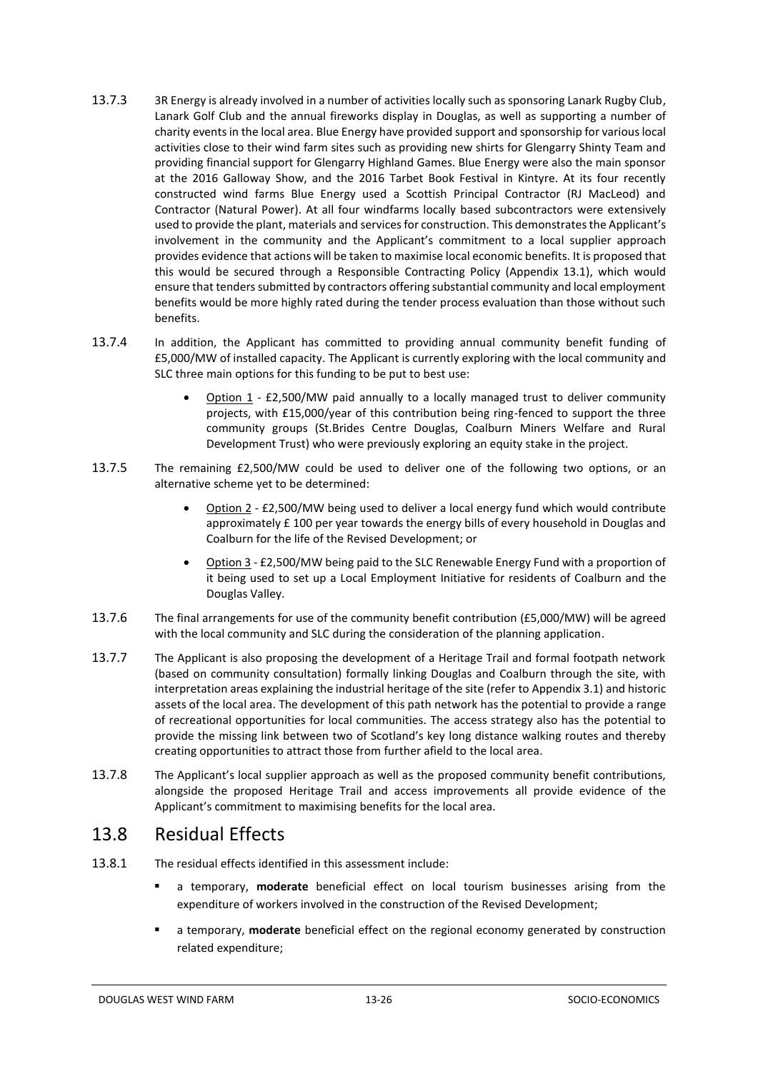- 13.7.3 3R Energy is already involved in a number of activities locally such as sponsoring Lanark Rugby Club, Lanark Golf Club and the annual fireworks display in Douglas, as well as supporting a number of charity events in the local area. Blue Energy have provided support and sponsorship for various local activities close to their wind farm sites such as providing new shirts for Glengarry Shinty Team and providing financial support for Glengarry Highland Games. Blue Energy were also the main sponsor at the 2016 Galloway Show, and the 2016 Tarbet Book Festival in Kintyre. At its four recently constructed wind farms Blue Energy used a Scottish Principal Contractor (RJ MacLeod) and Contractor (Natural Power). At all four windfarms locally based subcontractors were extensively used to provide the plant, materials and services for construction. This demonstrates the Applicant's involvement in the community and the Applicant's commitment to a local supplier approach provides evidence that actions will be taken to maximise local economic benefits. It is proposed that this would be secured through a Responsible Contracting Policy (Appendix 13.1), which would ensure that tenders submitted by contractors offering substantial community and local employment benefits would be more highly rated during the tender process evaluation than those without such benefits.
- 13.7.4 In addition, the Applicant has committed to providing annual community benefit funding of £5,000/MW of installed capacity. The Applicant is currently exploring with the local community and SLC three main options for this funding to be put to best use:
	- Option 1 £2,500/MW paid annually to a locally managed trust to deliver community projects, with £15,000/year of this contribution being ring-fenced to support the three community groups (St.Brides Centre Douglas, Coalburn Miners Welfare and Rural Development Trust) who were previously exploring an equity stake in the project.
- 13.7.5 The remaining £2,500/MW could be used to deliver one of the following two options, or an alternative scheme yet to be determined:
	- Option 2 £2,500/MW being used to deliver a local energy fund which would contribute approximately £ 100 per year towards the energy bills of every household in Douglas and Coalburn for the life of the Revised Development; or
	- Option 3 £2,500/MW being paid to the SLC Renewable Energy Fund with a proportion of it being used to set up a Local Employment Initiative for residents of Coalburn and the Douglas Valley.
- 13.7.6 The final arrangements for use of the community benefit contribution (£5,000/MW) will be agreed with the local community and SLC during the consideration of the planning application.
- 13.7.7 The Applicant is also proposing the development of a Heritage Trail and formal footpath network (based on community consultation) formally linking Douglas and Coalburn through the site, with interpretation areas explaining the industrial heritage of the site (refer to Appendix 3.1) and historic assets of the local area. The development of this path network has the potential to provide a range of recreational opportunities for local communities. The access strategy also has the potential to provide the missing link between two of Scotland's key long distance walking routes and thereby creating opportunities to attract those from further afield to the local area.
- 13.7.8 The Applicant's local supplier approach as well as the proposed community benefit contributions, alongside the proposed Heritage Trail and access improvements all provide evidence of the Applicant's commitment to maximising benefits for the local area.

# <span id="page-27-0"></span>13.8 Residual Effects

- 13.8.1 The residual effects identified in this assessment include:
	- a temporary, **moderate** beneficial effect on local tourism businesses arising from the expenditure of workers involved in the construction of the Revised Development;
	- a temporary, **moderate** beneficial effect on the regional economy generated by construction related expenditure;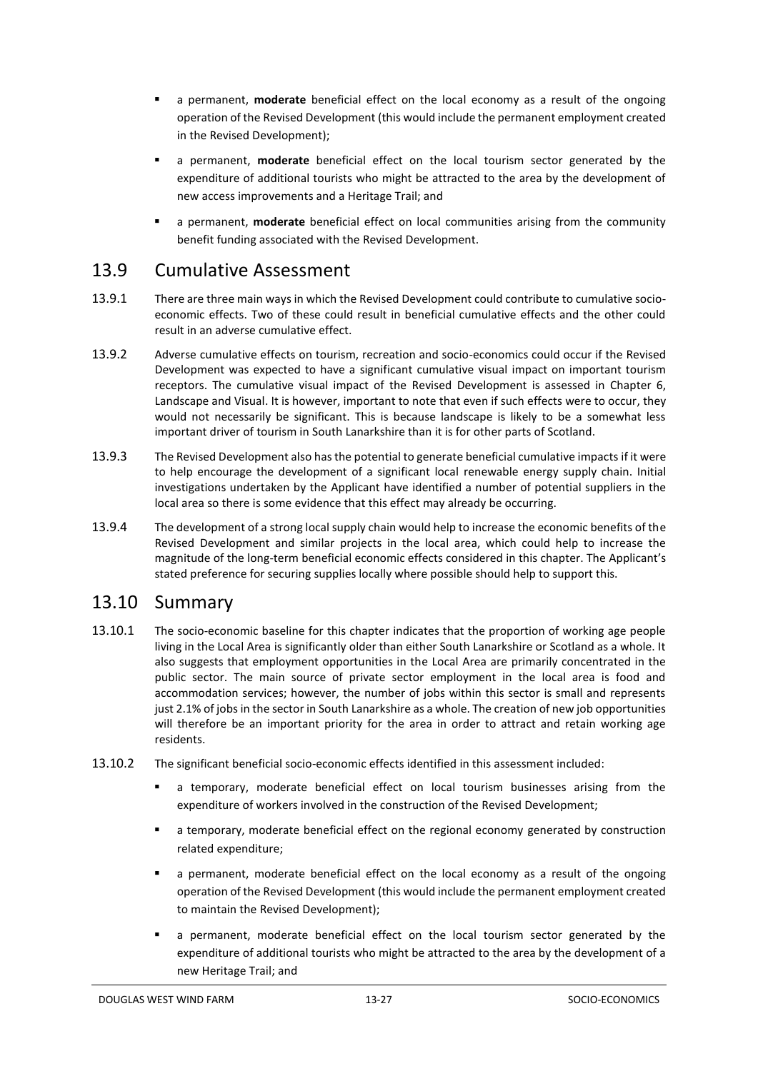- a permanent, **moderate** beneficial effect on the local economy as a result of the ongoing operation of the Revised Development (this would include the permanent employment created in the Revised Development);
- a permanent, **moderate** beneficial effect on the local tourism sector generated by the expenditure of additional tourists who might be attracted to the area by the development of new access improvements and a Heritage Trail; and
- a permanent, **moderate** beneficial effect on local communities arising from the community benefit funding associated with the Revised Development.

# <span id="page-28-0"></span>13.9 Cumulative Assessment

- 13.9.1 There are three main ways in which the Revised Development could contribute to cumulative socioeconomic effects. Two of these could result in beneficial cumulative effects and the other could result in an adverse cumulative effect.
- 13.9.2 Adverse cumulative effects on tourism, recreation and socio-economics could occur if the Revised Development was expected to have a significant cumulative visual impact on important tourism receptors. The cumulative visual impact of the Revised Development is assessed in Chapter 6, Landscape and Visual. It is however, important to note that even if such effects were to occur, they would not necessarily be significant. This is because landscape is likely to be a somewhat less important driver of tourism in South Lanarkshire than it is for other parts of Scotland.
- 13.9.3 The Revised Development also has the potential to generate beneficial cumulative impacts if it were to help encourage the development of a significant local renewable energy supply chain. Initial investigations undertaken by the Applicant have identified a number of potential suppliers in the local area so there is some evidence that this effect may already be occurring.
- 13.9.4 The development of a strong local supply chain would help to increase the economic benefits of the Revised Development and similar projects in the local area, which could help to increase the magnitude of the long-term beneficial economic effects considered in this chapter. The Applicant's stated preference for securing supplies locally where possible should help to support this.

# <span id="page-28-1"></span>13.10 Summary

- 13.10.1 The socio-economic baseline for this chapter indicates that the proportion of working age people living in the Local Area is significantly older than either South Lanarkshire or Scotland as a whole. It also suggests that employment opportunities in the Local Area are primarily concentrated in the public sector. The main source of private sector employment in the local area is food and accommodation services; however, the number of jobs within this sector is small and represents just 2.1% of jobs in the sector in South Lanarkshire as a whole. The creation of new job opportunities will therefore be an important priority for the area in order to attract and retain working age residents.
- 13.10.2 The significant beneficial socio-economic effects identified in this assessment included:
	- a temporary, moderate beneficial effect on local tourism businesses arising from the expenditure of workers involved in the construction of the Revised Development;
	- a temporary, moderate beneficial effect on the regional economy generated by construction related expenditure;
	- a permanent, moderate beneficial effect on the local economy as a result of the ongoing operation of the Revised Development (this would include the permanent employment created to maintain the Revised Development);
	- a permanent, moderate beneficial effect on the local tourism sector generated by the expenditure of additional tourists who might be attracted to the area by the development of a new Heritage Trail; and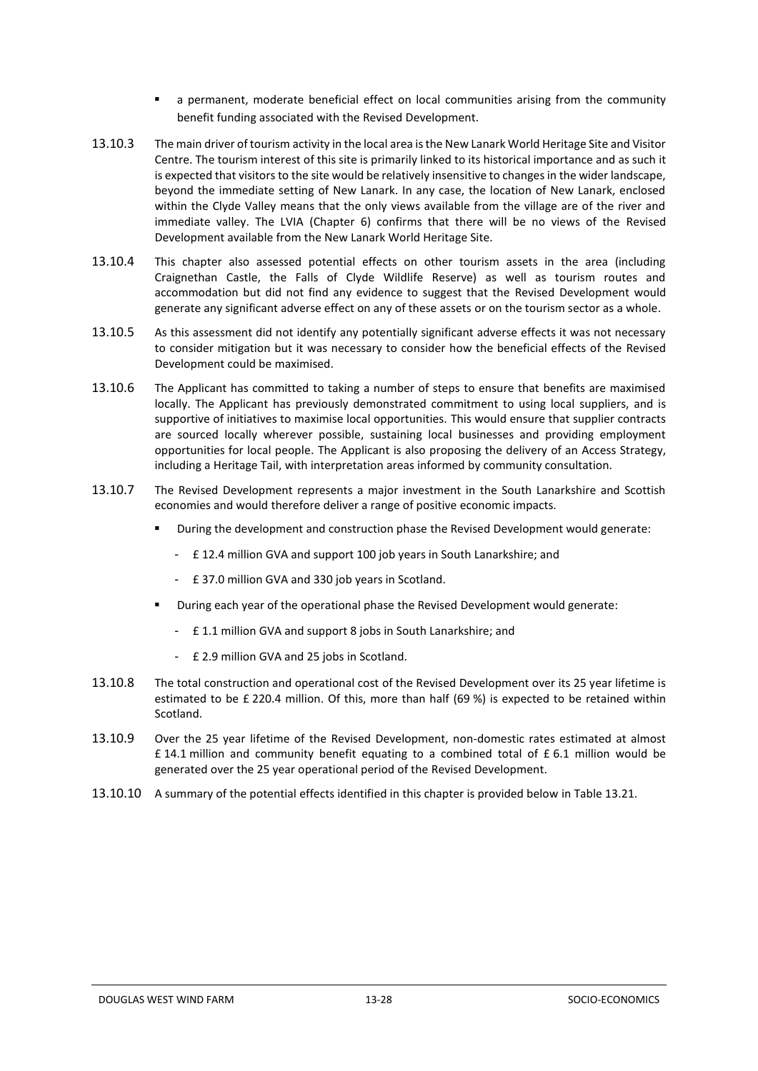- a permanent, moderate beneficial effect on local communities arising from the community benefit funding associated with the Revised Development.
- 13.10.3 The main driver of tourism activity in the local area is the New Lanark World Heritage Site and Visitor Centre. The tourism interest of this site is primarily linked to its historical importance and as such it is expected that visitors to the site would be relatively insensitive to changes in the wider landscape, beyond the immediate setting of New Lanark. In any case, the location of New Lanark, enclosed within the Clyde Valley means that the only views available from the village are of the river and immediate valley. The LVIA (Chapter 6) confirms that there will be no views of the Revised Development available from the New Lanark World Heritage Site.
- 13.10.4 This chapter also assessed potential effects on other tourism assets in the area (including Craignethan Castle, the Falls of Clyde Wildlife Reserve) as well as tourism routes and accommodation but did not find any evidence to suggest that the Revised Development would generate any significant adverse effect on any of these assets or on the tourism sector as a whole.
- 13.10.5 As this assessment did not identify any potentially significant adverse effects it was not necessary to consider mitigation but it was necessary to consider how the beneficial effects of the Revised Development could be maximised.
- 13.10.6 The Applicant has committed to taking a number of steps to ensure that benefits are maximised locally. The Applicant has previously demonstrated commitment to using local suppliers, and is supportive of initiatives to maximise local opportunities. This would ensure that supplier contracts are sourced locally wherever possible, sustaining local businesses and providing employment opportunities for local people. The Applicant is also proposing the delivery of an Access Strategy, including a Heritage Tail, with interpretation areas informed by community consultation.
- 13.10.7 The Revised Development represents a major investment in the South Lanarkshire and Scottish economies and would therefore deliver a range of positive economic impacts.
	- During the development and construction phase the Revised Development would generate:
		- £ 12.4 million GVA and support 100 job years in South Lanarkshire; and
		- £ 37.0 million GVA and 330 job years in Scotland.
	- **During each year of the operational phase the Revised Development would generate:** 
		- £ 1.1 million GVA and support 8 jobs in South Lanarkshire; and
		- £ 2.9 million GVA and 25 jobs in Scotland.
- 13.10.8 The total construction and operational cost of the Revised Development over its 25 year lifetime is estimated to be £ 220.4 million. Of this, more than half (69 %) is expected to be retained within Scotland.
- 13.10.9 Over the 25 year lifetime of the Revised Development, non-domestic rates estimated at almost  $£$  14.1 million and community benefit equating to a combined total of  $£$  6.1 million would be generated over the 25 year operational period of the Revised Development.
- 13.10.10 A summary of the potential effects identified in this chapter is provided below in Table 13.21.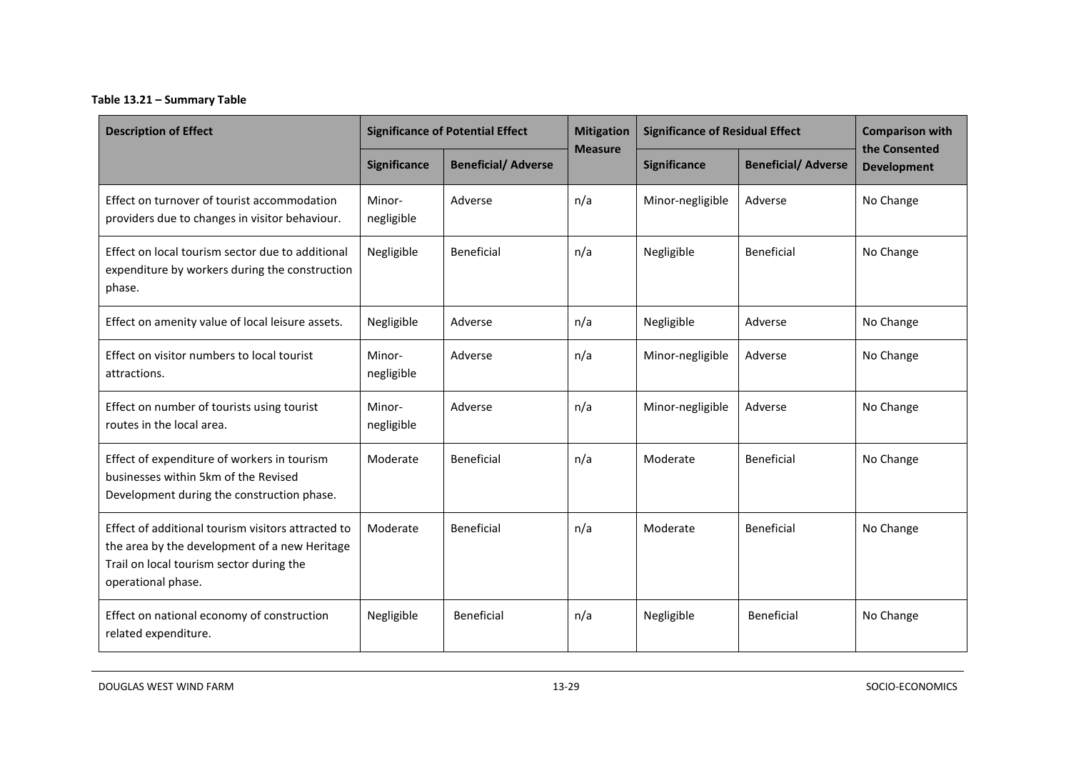#### **Table 13.21 – Summary Table**

| <b>Description of Effect</b>                                                                                                                                          | <b>Significance of Potential Effect</b> |                            | <b>Mitigation</b> | <b>Significance of Residual Effect</b> |                            | <b>Comparison with</b>              |
|-----------------------------------------------------------------------------------------------------------------------------------------------------------------------|-----------------------------------------|----------------------------|-------------------|----------------------------------------|----------------------------|-------------------------------------|
|                                                                                                                                                                       | <b>Significance</b>                     | <b>Beneficial/ Adverse</b> | <b>Measure</b>    | <b>Significance</b>                    | <b>Beneficial/ Adverse</b> | the Consented<br><b>Development</b> |
| Effect on turnover of tourist accommodation<br>providers due to changes in visitor behaviour.                                                                         | Minor-<br>negligible                    | Adverse                    | n/a               | Minor-negligible                       | Adverse                    | No Change                           |
| Effect on local tourism sector due to additional<br>expenditure by workers during the construction<br>phase.                                                          | Negligible                              | Beneficial                 | n/a               | Negligible                             | Beneficial                 | No Change                           |
| Effect on amenity value of local leisure assets.                                                                                                                      | Negligible                              | Adverse                    | n/a               | Negligible                             | Adverse                    | No Change                           |
| Effect on visitor numbers to local tourist<br>attractions.                                                                                                            | Minor-<br>negligible                    | Adverse                    | n/a               | Minor-negligible                       | Adverse                    | No Change                           |
| Effect on number of tourists using tourist<br>routes in the local area.                                                                                               | Minor-<br>negligible                    | Adverse                    | n/a               | Minor-negligible                       | Adverse                    | No Change                           |
| Effect of expenditure of workers in tourism<br>businesses within 5km of the Revised<br>Development during the construction phase.                                     | Moderate                                | Beneficial                 | n/a               | Moderate                               | Beneficial                 | No Change                           |
| Effect of additional tourism visitors attracted to<br>the area by the development of a new Heritage<br>Trail on local tourism sector during the<br>operational phase. | Moderate                                | Beneficial                 | n/a               | Moderate                               | Beneficial                 | No Change                           |
| Effect on national economy of construction<br>related expenditure.                                                                                                    | Negligible                              | Beneficial                 | n/a               | Negligible                             | Beneficial                 | No Change                           |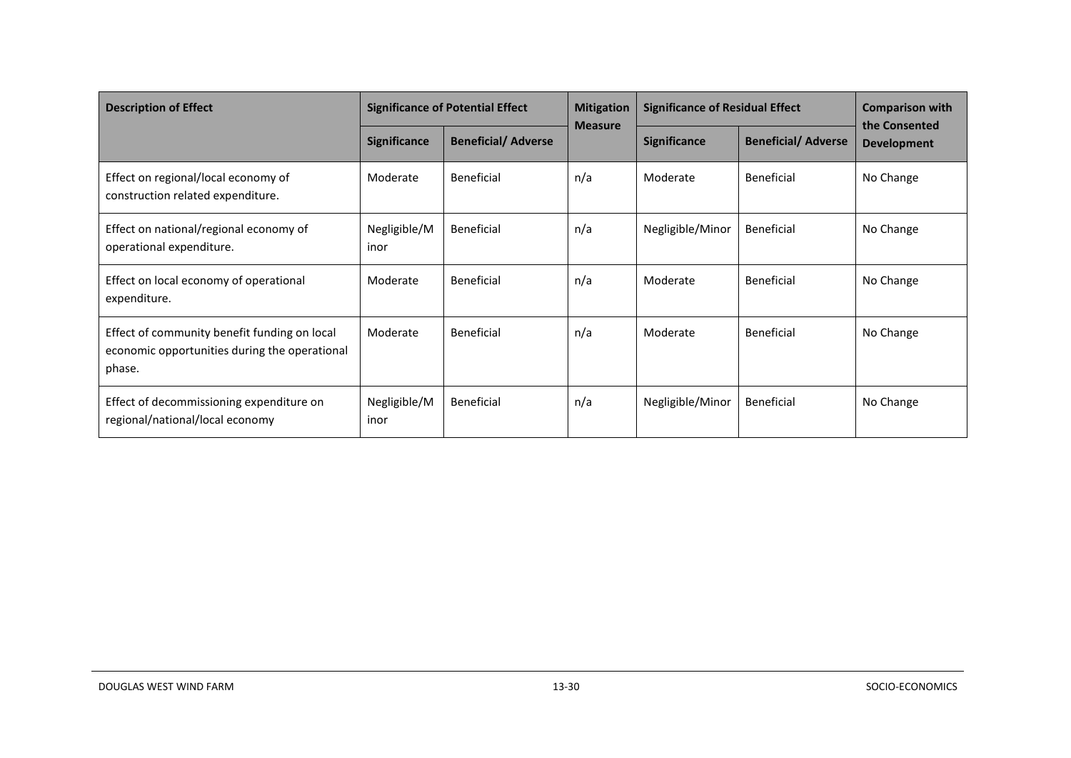| <b>Description of Effect</b>                                                                            | <b>Significance of Potential Effect</b> |                            | <b>Mitigation</b> | <b>Significance of Residual Effect</b> |                            | <b>Comparison with</b>              |
|---------------------------------------------------------------------------------------------------------|-----------------------------------------|----------------------------|-------------------|----------------------------------------|----------------------------|-------------------------------------|
|                                                                                                         | <b>Significance</b>                     | <b>Beneficial/ Adverse</b> | <b>Measure</b>    | <b>Significance</b>                    | <b>Beneficial/ Adverse</b> | the Consented<br><b>Development</b> |
| Effect on regional/local economy of<br>construction related expenditure.                                | Moderate                                | Beneficial                 | n/a               | Moderate                               | Beneficial                 | No Change                           |
| Effect on national/regional economy of<br>operational expenditure.                                      | Negligible/M<br>inor                    | Beneficial                 | n/a               | Negligible/Minor                       | <b>Beneficial</b>          | No Change                           |
| Effect on local economy of operational<br>expenditure.                                                  | Moderate                                | <b>Beneficial</b>          | n/a               | Moderate                               | <b>Beneficial</b>          | No Change                           |
| Effect of community benefit funding on local<br>economic opportunities during the operational<br>phase. | Moderate                                | Beneficial                 | n/a               | Moderate                               | Beneficial                 | No Change                           |
| Effect of decommissioning expenditure on<br>regional/national/local economy                             | Negligible/M<br>inor                    | <b>Beneficial</b>          | n/a               | Negligible/Minor                       | <b>Beneficial</b>          | No Change                           |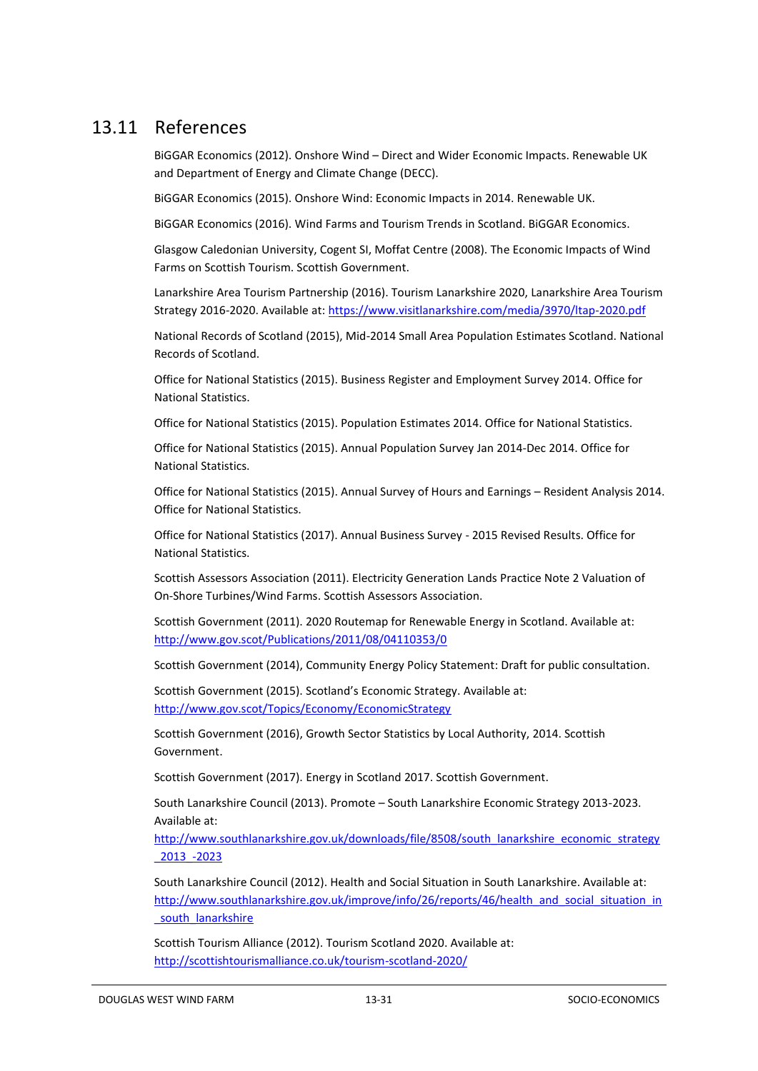# <span id="page-32-0"></span>13.11 References

BiGGAR Economics (2012). Onshore Wind – Direct and Wider Economic Impacts. Renewable UK and Department of Energy and Climate Change (DECC).

BiGGAR Economics (2015). Onshore Wind: Economic Impacts in 2014. Renewable UK.

BiGGAR Economics (2016). Wind Farms and Tourism Trends in Scotland. BiGGAR Economics.

Glasgow Caledonian University, Cogent SI, Moffat Centre (2008). The Economic Impacts of Wind Farms on Scottish Tourism. Scottish Government.

Lanarkshire Area Tourism Partnership (2016). Tourism Lanarkshire 2020, Lanarkshire Area Tourism Strategy 2016-2020. Available at:<https://www.visitlanarkshire.com/media/3970/ltap-2020.pdf>

National Records of Scotland (2015), Mid-2014 Small Area Population Estimates Scotland. National Records of Scotland.

Office for National Statistics (2015). Business Register and Employment Survey 2014. Office for National Statistics.

Office for National Statistics (2015). Population Estimates 2014. Office for National Statistics.

Office for National Statistics (2015). Annual Population Survey Jan 2014-Dec 2014. Office for National Statistics.

Office for National Statistics (2015). Annual Survey of Hours and Earnings – Resident Analysis 2014. Office for National Statistics.

Office for National Statistics (2017). Annual Business Survey - 2015 Revised Results. Office for National Statistics.

Scottish Assessors Association (2011). Electricity Generation Lands Practice Note 2 Valuation of On-Shore Turbines/Wind Farms. Scottish Assessors Association.

Scottish Government (2011). 2020 Routemap for Renewable Energy in Scotland. Available at: <http://www.gov.scot/Publications/2011/08/04110353/0>

Scottish Government (2014), Community Energy Policy Statement: Draft for public consultation.

Scottish Government (2015). Scotland's Economic Strategy. Available at: <http://www.gov.scot/Topics/Economy/EconomicStrategy>

Scottish Government (2016), Growth Sector Statistics by Local Authority, 2014. Scottish Government.

Scottish Government (2017). Energy in Scotland 2017. Scottish Government.

South Lanarkshire Council (2013). Promote – South Lanarkshire Economic Strategy 2013-2023. Available at:

[http://www.southlanarkshire.gov.uk/downloads/file/8508/south\\_lanarkshire\\_economic\\_strategy](http://www.southlanarkshire.gov.uk/downloads/file/8508/south_lanarkshire_economic_strategy_2013_-2023)\_ [\\_2013\\_-2023](http://www.southlanarkshire.gov.uk/downloads/file/8508/south_lanarkshire_economic_strategy_2013_-2023)

South Lanarkshire Council (2012). Health and Social Situation in South Lanarkshire. Available at: [http://www.southlanarkshire.gov.uk/improve/info/26/reports/46/health\\_and\\_social\\_situation\\_in](http://www.southlanarkshire.gov.uk/improve/info/26/reports/46/health_and_social_situation_in_south_lanarkshire) south lanarkshire

Scottish Tourism Alliance (2012). Tourism Scotland 2020. Available at: <http://scottishtourismalliance.co.uk/tourism-scotland-2020/>